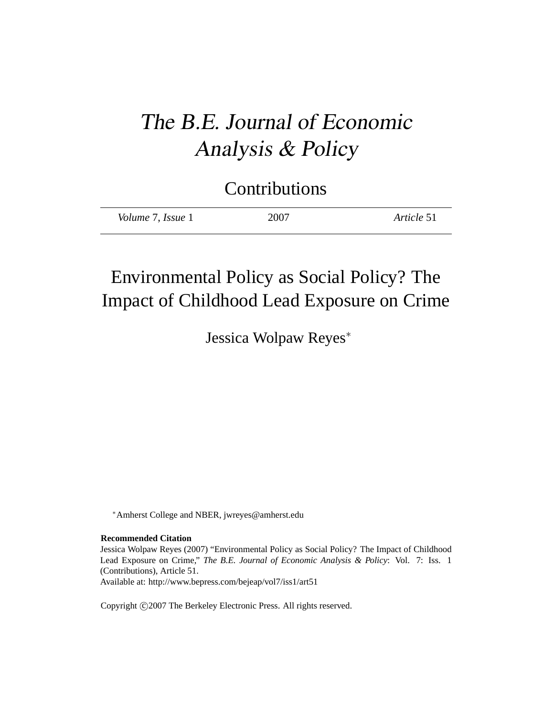# The B.E. Journal of Economic Analysis & Policy

## Contributions

| Volume 7, Issue 1 | 2007 | Article 51 |
|-------------------|------|------------|
|-------------------|------|------------|

# Environmental Policy as Social Policy? The Impact of Childhood Lead Exposure on Crime

Jessica Wolpaw Reyes<sup>∗</sup>

<sup>∗</sup>Amherst College and NBER, jwreyes@amherst.edu

#### **Recommended Citation**

Jessica Wolpaw Reyes (2007) "Environmental Policy as Social Policy? The Impact of Childhood Lead Exposure on Crime," *The B.E. Journal of Economic Analysis & Policy*: Vol. 7: Iss. 1 (Contributions), Article 51. Available at: http://www.bepress.com/bejeap/vol7/iss1/art51

Copyright © 2007 The Berkeley Electronic Press. All rights reserved.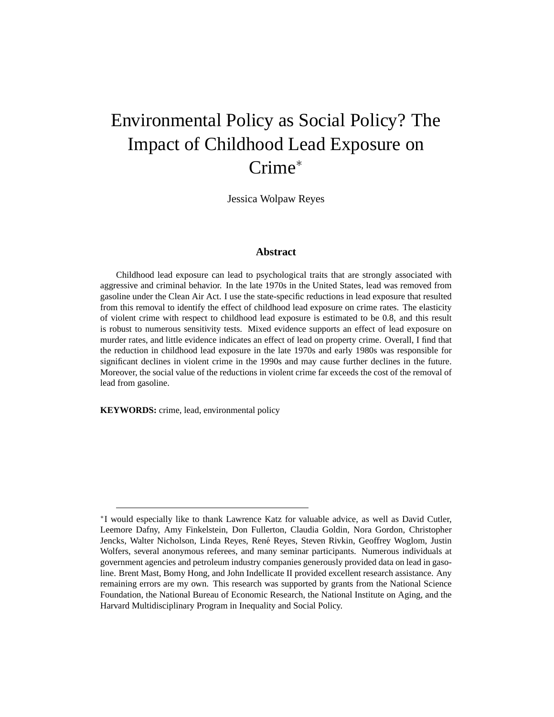# Environmental Policy as Social Policy? The Impact of Childhood Lead Exposure on Crime<sup>∗</sup>

Jessica Wolpaw Reyes

#### **Abstract**

Childhood lead exposure can lead to psychological traits that are strongly associated with aggressive and criminal behavior. In the late 1970s in the United States, lead was removed from gasoline under the Clean Air Act. I use the state-specific reductions in lead exposure that resulted from this removal to identify the effect of childhood lead exposure on crime rates. The elasticity of violent crime with respect to childhood lead exposure is estimated to be 0.8, and this result is robust to numerous sensitivity tests. Mixed evidence supports an effect of lead exposure on murder rates, and little evidence indicates an effect of lead on property crime. Overall, I find that the reduction in childhood lead exposure in the late 1970s and early 1980s was responsible for significant declines in violent crime in the 1990s and may cause further declines in the future. Moreover, the social value of the reductions in violent crime far exceeds the cost of the removal of lead from gasoline.

**KEYWORDS:** crime, lead, environmental policy

<sup>∗</sup> I would especially like to thank Lawrence Katz for valuable advice, as well as David Cutler, Leemore Dafny, Amy Finkelstein, Don Fullerton, Claudia Goldin, Nora Gordon, Christopher Jencks, Walter Nicholson, Linda Reyes, René Reyes, Steven Rivkin, Geoffrey Woglom, Justin Wolfers, several anonymous referees, and many seminar participants. Numerous individuals at government agencies and petroleum industry companies generously provided data on lead in gasoline. Brent Mast, Bomy Hong, and John Indellicate II provided excellent research assistance. Any remaining errors are my own. This research was supported by grants from the National Science Foundation, the National Bureau of Economic Research, the National Institute on Aging, and the Harvard Multidisciplinary Program in Inequality and Social Policy.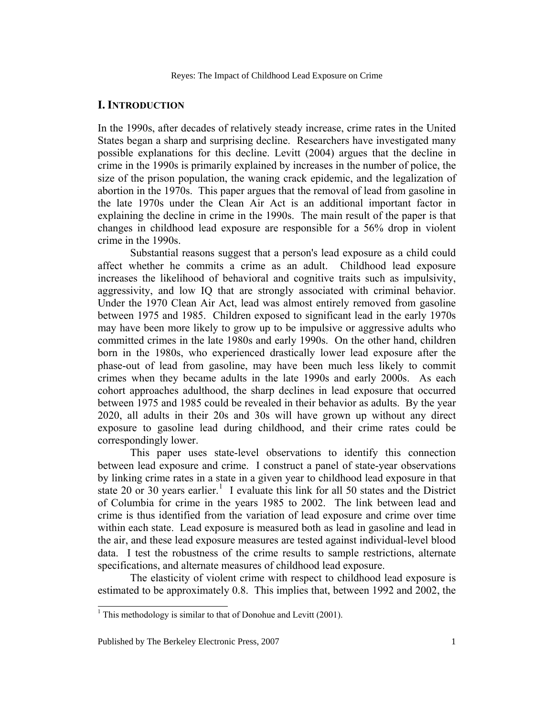## **I. INTRODUCTION**

In the 1990s, after decades of relatively steady increase, crime rates in the United States began a sharp and surprising decline. Researchers have investigated many possible explanations for this decline. Levitt (2004) argues that the decline in crime in the 1990s is primarily explained by increases in the number of police, the size of the prison population, the waning crack epidemic, and the legalization of abortion in the 1970s. This paper argues that the removal of lead from gasoline in the late 1970s under the Clean Air Act is an additional important factor in explaining the decline in crime in the 1990s. The main result of the paper is that changes in childhood lead exposure are responsible for a 56% drop in violent crime in the 1990s.

Substantial reasons suggest that a person's lead exposure as a child could affect whether he commits a crime as an adult. Childhood lead exposure increases the likelihood of behavioral and cognitive traits such as impulsivity, aggressivity, and low IQ that are strongly associated with criminal behavior. Under the 1970 Clean Air Act, lead was almost entirely removed from gasoline between 1975 and 1985. Children exposed to significant lead in the early 1970s may have been more likely to grow up to be impulsive or aggressive adults who committed crimes in the late 1980s and early 1990s. On the other hand, children born in the 1980s, who experienced drastically lower lead exposure after the phase-out of lead from gasoline, may have been much less likely to commit crimes when they became adults in the late 1990s and early 2000s. As each cohort approaches adulthood, the sharp declines in lead exposure that occurred between 1975 and 1985 could be revealed in their behavior as adults. By the year 2020, all adults in their 20s and 30s will have grown up without any direct exposure to gasoline lead during childhood, and their crime rates could be correspondingly lower.

 This paper uses state-level observations to identify this connection between lead exposure and crime. I construct a panel of state-year observations by linking crime rates in a state in a given year to childhood lead exposure in that state 20 or 30 years earlier.<sup>[1](#page-2-0)</sup> I evaluate this link for all 50 states and the District of Columbia for crime in the years 1985 to 2002. The link between lead and crime is thus identified from the variation of lead exposure and crime over time within each state. Lead exposure is measured both as lead in gasoline and lead in the air, and these lead exposure measures are tested against individual-level blood data. I test the robustness of the crime results to sample restrictions, alternate specifications, and alternate measures of childhood lead exposure.

The elasticity of violent crime with respect to childhood lead exposure is estimated to be approximately 0.8. This implies that, between 1992 and 2002, the

<span id="page-2-0"></span><sup>&</sup>lt;sup>1</sup> This methodology is similar to that of Donohue and Levitt (2001).

Published by The Berkeley Electronic Press, 2007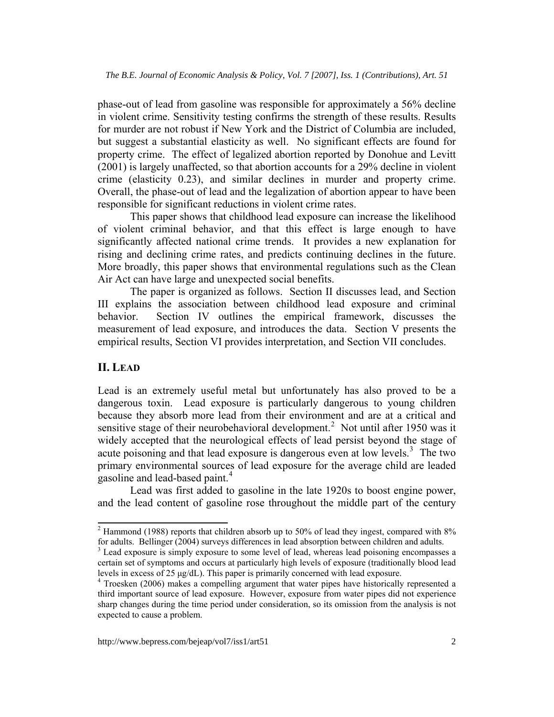phase-out of lead from gasoline was responsible for approximately a 56% decline in violent crime. Sensitivity testing confirms the strength of these results. Results for murder are not robust if New York and the District of Columbia are included, but suggest a substantial elasticity as well. No significant effects are found for property crime. The effect of legalized abortion reported by Donohue and Levitt (2001) is largely unaffected, so that abortion accounts for a 29% decline in violent crime (elasticity 0.23), and similar declines in murder and property crime. Overall, the phase-out of lead and the legalization of abortion appear to have been responsible for significant reductions in violent crime rates.

 This paper shows that childhood lead exposure can increase the likelihood of violent criminal behavior, and that this effect is large enough to have significantly affected national crime trends. It provides a new explanation for rising and declining crime rates, and predicts continuing declines in the future. More broadly, this paper shows that environmental regulations such as the Clean Air Act can have large and unexpected social benefits.

 The paper is organized as follows. Section II discusses lead, and Section III explains the association between childhood lead exposure and criminal behavior. Section IV outlines the empirical framework, discusses the measurement of lead exposure, and introduces the data. Section V presents the empirical results, Section VI provides interpretation, and Section VII concludes.

## **II. LEAD**

Lead is an extremely useful metal but unfortunately has also proved to be a dangerous toxin. Lead exposure is particularly dangerous to young children because they absorb more lead from their environment and are at a critical and sensitive stage of their neurobehavioral development.<sup>[2](#page-3-0)</sup> Not until after 1950 was it widely accepted that the neurological effects of lead persist beyond the stage of acute poisoning and that lead exposure is dangerous even at low levels.<sup>[3](#page-3-1)</sup> The two primary environmental sources of lead exposure for the average child are leaded gasoline and lead-based paint.<sup>[4](#page-3-2)</sup>

 Lead was first added to gasoline in the late 1920s to boost engine power, and the lead content of gasoline rose throughout the middle part of the century

<span id="page-3-0"></span><sup>&</sup>lt;sup>2</sup> Hammond (1988) reports that children absorb up to 50% of lead they ingest, compared with 8% for adults. Bellinger (2004) surveys differences in lead absorption between children and adults. 3

<span id="page-3-1"></span><sup>&</sup>lt;sup>3</sup> Lead exposure is simply exposure to some level of lead, whereas lead poisoning encompasses a certain set of symptoms and occurs at particularly high levels of exposure (traditionally blood lead levels in excess of 25  $\mu$ g/dL). This paper is primarily concerned with lead exposure.

<span id="page-3-2"></span><sup>&</sup>lt;sup>4</sup> Troesken (2006) makes a compelling argument that water pipes have historically represented a third important source of lead exposure. However, exposure from water pipes did not experience sharp changes during the time period under consideration, so its omission from the analysis is not expected to cause a problem.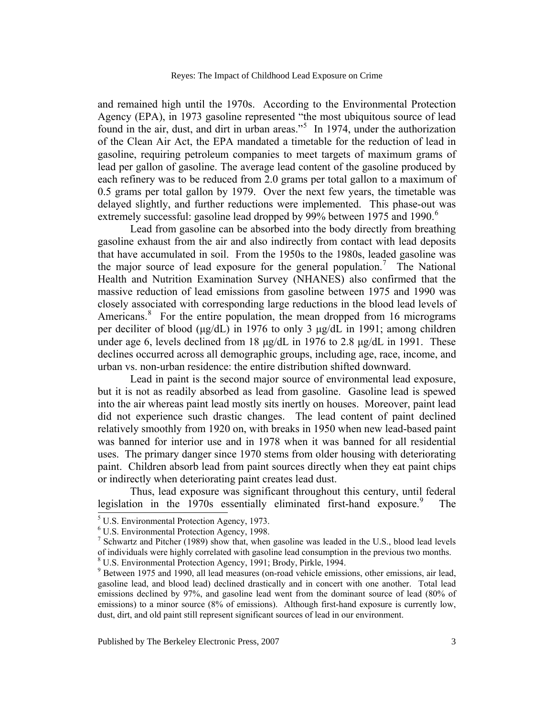and remained high until the 1970s. According to the Environmental Protection Agency (EPA), in 1973 gasoline represented "the most ubiquitous source of lead found in the air, dust, and dirt in urban areas."<sup>[5](#page-4-0)</sup> In 1974, under the authorization of the Clean Air Act, the EPA mandated a timetable for the reduction of lead in gasoline, requiring petroleum companies to meet targets of maximum grams of lead per gallon of gasoline. The average lead content of the gasoline produced by each refinery was to be reduced from 2.0 grams per total gallon to a maximum of 0.5 grams per total gallon by 1979. Over the next few years, the timetable was delayed slightly, and further reductions were implemented. This phase-out was extremely successful: gasoline lead dropped by 99% between 1975 and 1990.<sup>[6](#page-4-1)</sup>

Lead from gasoline can be absorbed into the body directly from breathing gasoline exhaust from the air and also indirectly from contact with lead deposits that have accumulated in soil. From the 1950s to the 1980s, leaded gasoline was the major source of lead exposure for the general population.<sup>[7](#page-4-2)</sup> The National Health and Nutrition Examination Survey (NHANES) also confirmed that the massive reduction of lead emissions from gasoline between 1975 and 1990 was closely associated with corresponding large reductions in the blood lead levels of Americans.<sup>[8](#page-4-3)</sup> For the entire population, the mean dropped from 16 micrograms per deciliter of blood (μg/dL) in 1976 to only 3 μg/dL in 1991; among children under age 6, levels declined from 18 μg/dL in 1976 to 2.8 μg/dL in 1991. These declines occurred across all demographic groups, including age, race, income, and urban vs. non-urban residence: the entire distribution shifted downward.

 Lead in paint is the second major source of environmental lead exposure, but it is not as readily absorbed as lead from gasoline. Gasoline lead is spewed into the air whereas paint lead mostly sits inertly on houses. Moreover, paint lead did not experience such drastic changes. The lead content of paint declined relatively smoothly from 1920 on, with breaks in 1950 when new lead-based paint was banned for interior use and in 1978 when it was banned for all residential uses. The primary danger since 1970 stems from older housing with deteriorating paint. Children absorb lead from paint sources directly when they eat paint chips or indirectly when deteriorating paint creates lead dust.

 Thus, lead exposure was significant throughout this century, until federal legislation in the  $1970s$  $1970s$  $1970s$  essentially eliminated first-hand exposure.<sup>9</sup> The

<sup>&</sup>lt;sup>5</sup> U.S. Environmental Protection Agency, 1973.

<span id="page-4-1"></span><span id="page-4-0"></span><sup>6</sup> U.S. Environmental Protection Agency, 1998.

<span id="page-4-2"></span><sup>&</sup>lt;sup>7</sup> Schwartz and Pitcher (1989) show that, when gasoline was leaded in the U.S., blood lead levels of individuals were highly correlated with gasoline lead consumption in the previous two months. 8 U.S. Environmental Protection Agency, 1991; Brody, Pirkle, 1994.

<span id="page-4-4"></span><span id="page-4-3"></span><sup>&</sup>lt;sup>9</sup> Between 1975 and 1990, all lead measures (on-road vehicle emissions, other emissions, air lead, gasoline lead, and blood lead) declined drastically and in concert with one another. Total lead emissions declined by 97%, and gasoline lead went from the dominant source of lead (80% of emissions) to a minor source (8% of emissions). Although first-hand exposure is currently low, dust, dirt, and old paint still represent significant sources of lead in our environment.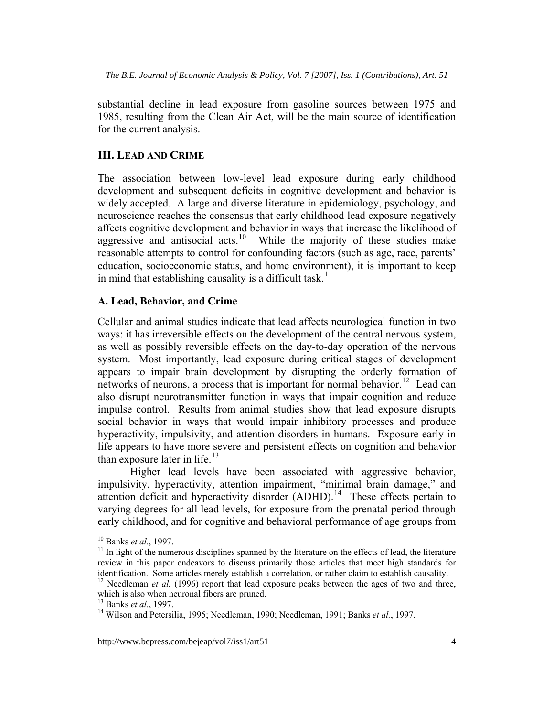substantial decline in lead exposure from gasoline sources between 1975 and 1985, resulting from the Clean Air Act, will be the main source of identification for the current analysis.

## **III. LEAD AND CRIME**

The association between low-level lead exposure during early childhood development and subsequent deficits in cognitive development and behavior is widely accepted. A large and diverse literature in epidemiology, psychology, and neuroscience reaches the consensus that early childhood lead exposure negatively affects cognitive development and behavior in ways that increase the likelihood of aggressive and antisocial acts.<sup>[10](#page-5-0)</sup> While the majority of these studies make reasonable attempts to control for confounding factors (such as age, race, parents' education, socioeconomic status, and home environment), it is important to keep in mind that establishing causality is a difficult task.<sup>[11](#page-5-1)</sup>

## **A. Lead, Behavior, and Crime**

Cellular and animal studies indicate that lead affects neurological function in two ways: it has irreversible effects on the development of the central nervous system, as well as possibly reversible effects on the day-to-day operation of the nervous system. Most importantly, lead exposure during critical stages of development appears to impair brain development by disrupting the orderly formation of networks of neurons, a process that is important for normal behavior.<sup>[12](#page-5-2)</sup> Lead can also disrupt neurotransmitter function in ways that impair cognition and reduce impulse control. Results from animal studies show that lead exposure disrupts social behavior in ways that would impair inhibitory processes and produce hyperactivity, impulsivity, and attention disorders in humans. Exposure early in life appears to have more severe and persistent effects on cognition and behavior than exposure later in life. $13$ 

Higher lead levels have been associated with aggressive behavior, impulsivity, hyperactivity, attention impairment, "minimal brain damage," and attention deficit and hyperactivity disorder  $(ADHD)$ .<sup>[14](#page-5-4)</sup> These effects pertain to varying degrees for all lead levels, for exposure from the prenatal period through early childhood, and for cognitive and behavioral performance of age groups from

 $10$  Banks *et al.*, 1997.

<span id="page-5-1"></span><span id="page-5-0"></span> $<sup>11</sup>$  In light of the numerous disciplines spanned by the literature on the effects of lead, the literature</sup> review in this paper endeavors to discuss primarily those articles that meet high standards for identification. Some articles merely establish a correlation, or rather claim to establish causality.

<span id="page-5-2"></span><sup>&</sup>lt;sup>12</sup> Needleman *et al.* (1996) report that lead exposure peaks between the ages of two and three, which is also when neuronal fibers are pruned.<br><sup>13</sup> Banks *et al.*, 1997.

<span id="page-5-4"></span><span id="page-5-3"></span><sup>&</sup>lt;sup>14</sup> Wilson and Petersilia, 1995; Needleman, 1990; Needleman, 1991; Banks *et al.*, 1997.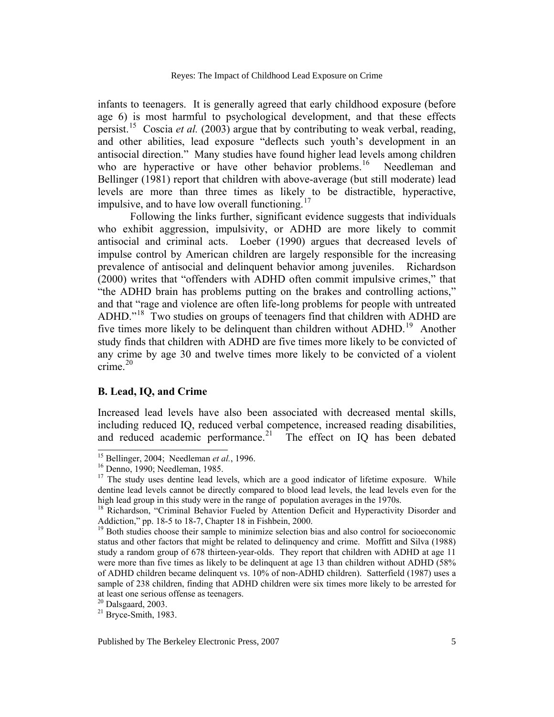infants to teenagers. It is generally agreed that early childhood exposure (before age 6) is most harmful to psychological development, and that these effects persist.[15](#page-6-0) Coscia *et al.* (2003) argue that by contributing to weak verbal, reading, and other abilities, lead exposure "deflects such youth's development in an antisocial direction." Many studies have found higher lead levels among children who are hyperactive or have other behavior problems.<sup>[16](#page-6-1)</sup> Needleman and Bellinger (1981) report that children with above-average (but still moderate) lead levels are more than three times as likely to be distractible, hyperactive, impulsive, and to have low overall functioning.<sup>[17](#page-6-2)</sup>

 Following the links further, significant evidence suggests that individuals who exhibit aggression, impulsivity, or ADHD are more likely to commit antisocial and criminal acts. Loeber (1990) argues that decreased levels of impulse control by American children are largely responsible for the increasing prevalence of antisocial and delinquent behavior among juveniles. Richardson (2000) writes that "offenders with ADHD often commit impulsive crimes," that "the ADHD brain has problems putting on the brakes and controlling actions," and that "rage and violence are often life-long problems for people with untreated ADHD."<sup>[18](#page-6-3)</sup> Two studies on groups of teenagers find that children with ADHD are five times more likely to be delinquent than children without  $ADHD<sup>19</sup>$  $ADHD<sup>19</sup>$  $ADHD<sup>19</sup>$  Another study finds that children with ADHD are five times more likely to be convicted of any crime by age 30 and twelve times more likely to be convicted of a violent crime $^{20}$  $^{20}$  $^{20}$ 

#### **B. Lead, IQ, and Crime**

Increased lead levels have also been associated with decreased mental skills, including reduced IQ, reduced verbal competence, increased reading disabilities, and reduced academic performance.<sup>[21](#page-6-6)</sup> The effect on IQ has been debated

 $\overline{1}$ 

<sup>&</sup>lt;sup>15</sup> Bellinger, 2004; Needleman *et al.*, 1996.<br><sup>16</sup> Denno, 1990; Needleman, 1985.

<span id="page-6-2"></span><span id="page-6-1"></span><span id="page-6-0"></span> $16$  Denno, 1990; Needleman, 1985.<br><sup>17</sup> The study uses dentine lead levels, which are a good indicator of lifetime exposure. While dentine lead levels cannot be directly compared to blood lead levels, the lead levels even for the high lead group in this study were in the range of population averages in the 1970s.

<span id="page-6-3"></span><sup>&</sup>lt;sup>18</sup> Richardson, "Criminal Behavior Fueled by Attention Deficit and Hyperactivity Disorder and Addiction," pp. 18-5 to 18-7, Chapter 18 in Fishbein, 2000.

<span id="page-6-4"></span><sup>&</sup>lt;sup>19</sup> Both studies choose their sample to minimize selection bias and also control for socioeconomic status and other factors that might be related to delinquency and crime. Moffitt and Silva (1988) study a random group of 678 thirteen-year-olds. They report that children with ADHD at age 11 were more than five times as likely to be delinquent at age 13 than children without ADHD (58% of ADHD children became delinquent vs. 10% of non-ADHD children). Satterfield (1987) uses a sample of 238 children, finding that ADHD children were six times more likely to be arrested for at least one serious offense as teenagers.

 $20$  Dalsgaard, 2003.

<span id="page-6-6"></span><span id="page-6-5"></span> $21$  Bryce-Smith, 1983.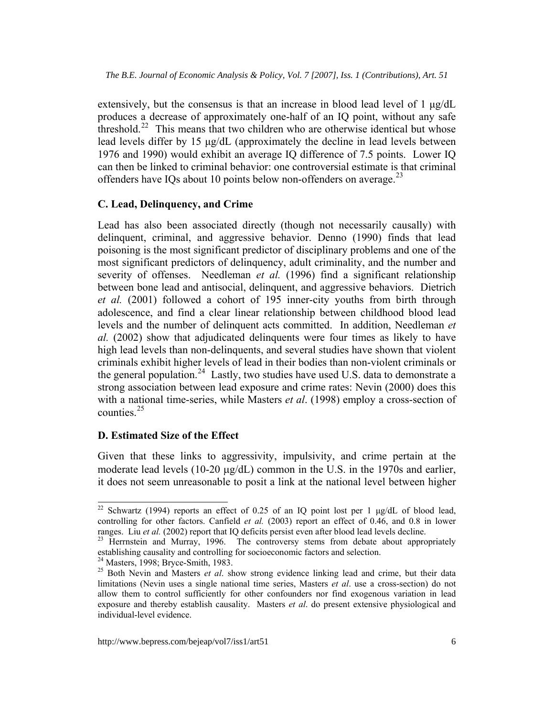extensively, but the consensus is that an increase in blood lead level of 1 μg/dL produces a decrease of approximately one-half of an IQ point, without any safe threshold.<sup>[22](#page-7-0)</sup> This means that two children who are otherwise identical but whose lead levels differ by 15 μg/dL (approximately the decline in lead levels between 1976 and 1990) would exhibit an average IQ difference of 7.5 points. Lower IQ can then be linked to criminal behavior: one controversial estimate is that criminal offenders have IQs about 10 points below non-offenders on average.<sup>[23](#page-7-1)</sup>

## **C. Lead, Delinquency, and Crime**

Lead has also been associated directly (though not necessarily causally) with delinquent, criminal, and aggressive behavior. Denno (1990) finds that lead poisoning is the most significant predictor of disciplinary problems and one of the most significant predictors of delinquency, adult criminality, and the number and severity of offenses. Needleman *et al.* (1996) find a significant relationship between bone lead and antisocial, delinquent, and aggressive behaviors. Dietrich *et al.* (2001) followed a cohort of 195 inner-city youths from birth through adolescence, and find a clear linear relationship between childhood blood lead levels and the number of delinquent acts committed. In addition, Needleman *et al.* (2002) show that adjudicated delinquents were four times as likely to have high lead levels than non-delinquents, and several studies have shown that violent criminals exhibit higher levels of lead in their bodies than non-violent criminals or the general population.<sup>[24](#page-7-2)</sup> Lastly, two studies have used U.S. data to demonstrate a strong association between lead exposure and crime rates: Nevin (2000) does this with a national time-series, while Masters *et al*. (1998) employ a cross-section of counties.[25](#page-7-3)

## **D. Estimated Size of the Effect**

Given that these links to aggressivity, impulsivity, and crime pertain at the moderate lead levels (10-20 μg/dL) common in the U.S. in the 1970s and earlier, it does not seem unreasonable to posit a link at the national level between higher

<span id="page-7-0"></span> $\overline{\phantom{a}}$ <sup>22</sup> Schwartz (1994) reports an effect of 0.25 of an IQ point lost per 1  $\mu$ g/dL of blood lead, controlling for other factors. Canfield *et al.* (2003) report an effect of 0.46, and 0.8 in lower ranges. Liu *et al.* (2002) report that IQ deficits persist even after blood lead levels decline.<br><sup>23</sup> Herrnstein and Murray, 1996. The controversy stems from debate about appropriately

<span id="page-7-1"></span>establishing causality and controlling for socioeconomic factors and selection.

<sup>&</sup>lt;sup>24</sup> Masters, 1998; Bryce-Smith, 1983.

<span id="page-7-3"></span><span id="page-7-2"></span><sup>&</sup>lt;sup>25</sup> Both Nevin and Masters *et al.* show strong evidence linking lead and crime, but their data limitations (Nevin uses a single national time series, Masters *et al*. use a cross-section) do not allow them to control sufficiently for other confounders nor find exogenous variation in lead exposure and thereby establish causality. Masters *et al*. do present extensive physiological and individual-level evidence.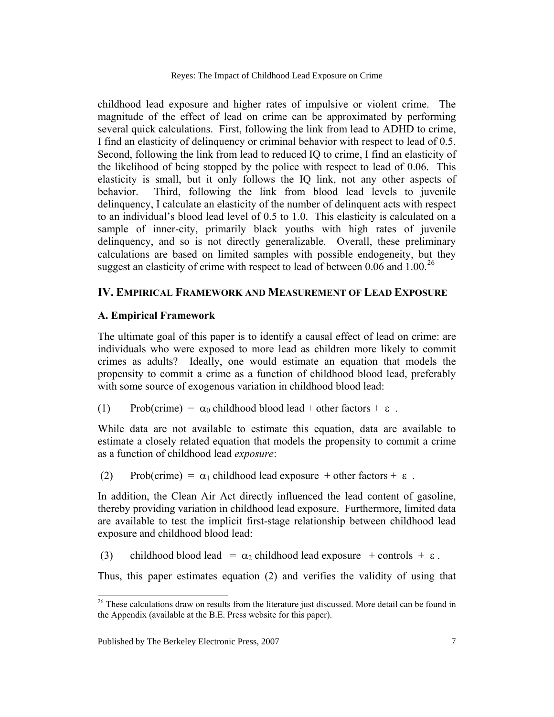childhood lead exposure and higher rates of impulsive or violent crime. The magnitude of the effect of lead on crime can be approximated by performing several quick calculations. First, following the link from lead to ADHD to crime, I find an elasticity of delinquency or criminal behavior with respect to lead of 0.5. Second, following the link from lead to reduced IQ to crime, I find an elasticity of the likelihood of being stopped by the police with respect to lead of 0.06. This elasticity is small, but it only follows the IQ link, not any other aspects of behavior. Third, following the link from blood lead levels to juvenile delinquency, I calculate an elasticity of the number of delinquent acts with respect to an individual's blood lead level of 0.5 to 1.0. This elasticity is calculated on a sample of inner-city, primarily black youths with high rates of juvenile delinquency, and so is not directly generalizable. Overall, these preliminary calculations are based on limited samples with possible endogeneity, but they suggest an elasticity of crime with respect to lead of between 0.06 and 1.00.<sup>[26](#page-8-0)</sup>

## **IV. EMPIRICAL FRAMEWORK AND MEASUREMENT OF LEAD EXPOSURE**

## **A. Empirical Framework**

The ultimate goal of this paper is to identify a causal effect of lead on crime: are individuals who were exposed to more lead as children more likely to commit crimes as adults? Ideally, one would estimate an equation that models the propensity to commit a crime as a function of childhood blood lead, preferably with some source of exogenous variation in childhood blood lead:

(1) Prob(crime) =  $\alpha_0$  childhood blood lead + other factors +  $\varepsilon$ .

While data are not available to estimate this equation, data are available to estimate a closely related equation that models the propensity to commit a crime as a function of childhood lead *exposure*:

(2) Prob(crime) =  $\alpha_1$  childhood lead exposure + other factors +  $\varepsilon$ .

In addition, the Clean Air Act directly influenced the lead content of gasoline, thereby providing variation in childhood lead exposure. Furthermore, limited data are available to test the implicit first-stage relationship between childhood lead exposure and childhood blood lead:

(3) childhood blood lead =  $\alpha_2$  childhood lead exposure + controls +  $\varepsilon$ .

Thus, this paper estimates equation (2) and verifies the validity of using that

<span id="page-8-0"></span> $\overline{\phantom{a}}$  $26$  These calculations draw on results from the literature just discussed. More detail can be found in the Appendix (available at the B.E. Press website for this paper).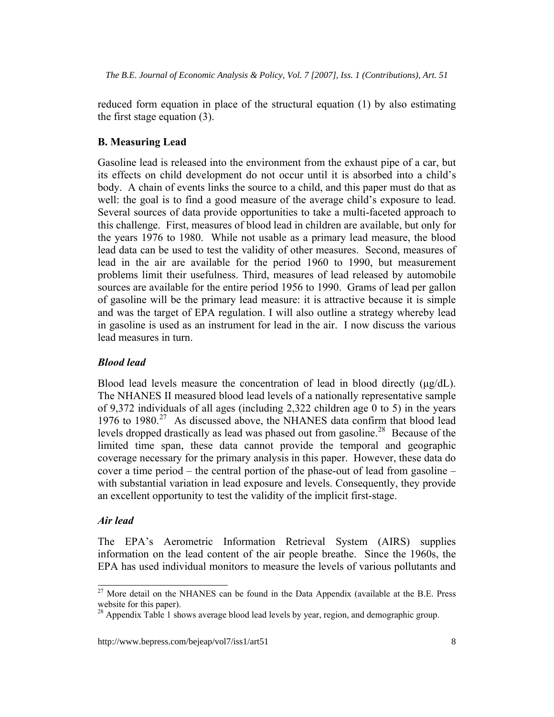*The B.E. Journal of Economic Analysis & Policy, Vol. 7 [2007], Iss. 1 (Contributions), Art. 51*

reduced form equation in place of the structural equation (1) by also estimating the first stage equation (3).

## **B. Measuring Lead**

Gasoline lead is released into the environment from the exhaust pipe of a car, but its effects on child development do not occur until it is absorbed into a child's body. A chain of events links the source to a child, and this paper must do that as well: the goal is to find a good measure of the average child's exposure to lead. Several sources of data provide opportunities to take a multi-faceted approach to this challenge. First, measures of blood lead in children are available, but only for the years 1976 to 1980. While not usable as a primary lead measure, the blood lead data can be used to test the validity of other measures. Second, measures of lead in the air are available for the period 1960 to 1990, but measurement problems limit their usefulness. Third, measures of lead released by automobile sources are available for the entire period 1956 to 1990. Grams of lead per gallon of gasoline will be the primary lead measure: it is attractive because it is simple and was the target of EPA regulation. I will also outline a strategy whereby lead in gasoline is used as an instrument for lead in the air. I now discuss the various lead measures in turn.

## *Blood lead*

Blood lead levels measure the concentration of lead in blood directly (μg/dL). The NHANES II measured blood lead levels of a nationally representative sample of 9,372 individuals of all ages (including 2,322 children age 0 to 5) in the years 1976 to 1980.<sup>[27](#page-9-0)</sup> As discussed above, the NHANES data confirm that blood lead levels dropped drastically as lead was phased out from gasoline.<sup>[28](#page-9-1)</sup> Because of the limited time span, these data cannot provide the temporal and geographic coverage necessary for the primary analysis in this paper. However, these data do cover a time period – the central portion of the phase-out of lead from gasoline – with substantial variation in lead exposure and levels. Consequently, they provide an excellent opportunity to test the validity of the implicit first-stage.

## *Air lead*

The EPA's Aerometric Information Retrieval System (AIRS) supplies information on the lead content of the air people breathe. Since the 1960s, the EPA has used individual monitors to measure the levels of various pollutants and

<span id="page-9-0"></span> $\overline{\phantom{a}}$  $27$  More detail on the NHANES can be found in the Data Appendix (available at the B.E. Press website for this paper).

<span id="page-9-1"></span> $^{28}$  Appendix Table 1 shows average blood lead levels by year, region, and demographic group.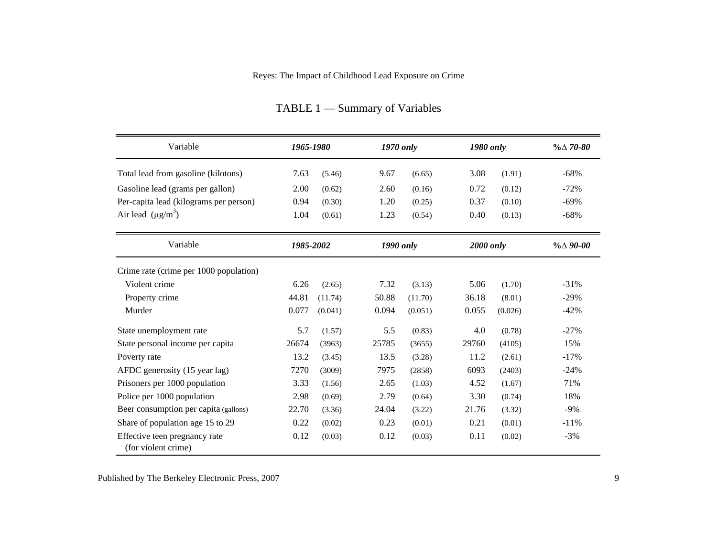| Variable                                             | 1965-1980 |         | 1970 only |         | 1980 only        |         | $% \triangle 70-80$ |
|------------------------------------------------------|-----------|---------|-----------|---------|------------------|---------|---------------------|
| Total lead from gasoline (kilotons)                  | 7.63      | (5.46)  | 9.67      | (6.65)  | 3.08             | (1.91)  | $-68%$              |
| Gasoline lead (grams per gallon)                     | 2.00      | (0.62)  | 2.60      | (0.16)  | 0.72             | (0.12)  | $-72%$              |
| Per-capita lead (kilograms per person)               | 0.94      | (0.30)  | 1.20      | (0.25)  | 0.37             | (0.10)  | $-69%$              |
| Air lead $(\mu g/m^3)$                               | 1.04      | (0.61)  | 1.23      | (0.54)  | 0.40             | (0.13)  | $-68%$              |
| Variable                                             | 1985-2002 |         | 1990 only |         | <b>2000 only</b> |         | $% 90-00$           |
| Crime rate (crime per 1000 population)               |           |         |           |         |                  |         |                     |
| Violent crime                                        | 6.26      | (2.65)  | 7.32      | (3.13)  | 5.06             | (1.70)  | $-31%$              |
| Property crime                                       | 44.81     | (11.74) | 50.88     | (11.70) | 36.18            | (8.01)  | $-29%$              |
| Murder                                               | 0.077     | (0.041) | 0.094     | (0.051) | 0.055            | (0.026) | $-42%$              |
| State unemployment rate                              | 5.7       | (1.57)  | 5.5       | (0.83)  | 4.0              | (0.78)  | $-27%$              |
| State personal income per capita                     | 26674     | (3963)  | 25785     | (3655)  | 29760            | (4105)  | 15%                 |
| Poverty rate                                         | 13.2      | (3.45)  | 13.5      | (3.28)  | 11.2             | (2.61)  | $-17%$              |
| AFDC generosity (15 year lag)                        | 7270      | (3009)  | 7975      | (2858)  | 6093             | (2403)  | $-24%$              |
| Prisoners per 1000 population                        | 3.33      | (1.56)  | 2.65      | (1.03)  | 4.52             | (1.67)  | 71%                 |
| Police per 1000 population                           | 2.98      | (0.69)  | 2.79      | (0.64)  | 3.30             | (0.74)  | 18%                 |
| Beer consumption per capita (gallons)                | 22.70     | (3.36)  | 24.04     | (3.22)  | 21.76            | (3.32)  | $-9\%$              |
| Share of population age 15 to 29                     | 0.22      | (0.02)  | 0.23      | (0.01)  | 0.21             | (0.01)  | $-11%$              |
| Effective teen pregnancy rate<br>(for violent crime) | 0.12      | (0.03)  | 0.12      | (0.03)  | 0.11             | (0.02)  | $-3%$               |

## TABLE 1 — Summary of Variables

Published by The Berkeley Electronic Press, 2007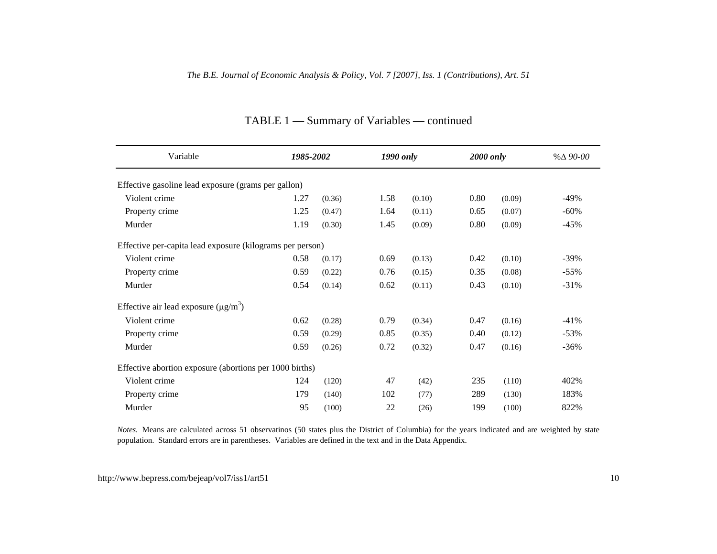| Variable                                                  | 1985-2002 |        | 1990 only |        | <b>2000 only</b> |        | % $\Delta$ 90-00 |  |  |
|-----------------------------------------------------------|-----------|--------|-----------|--------|------------------|--------|------------------|--|--|
| Effective gasoline lead exposure (grams per gallon)       |           |        |           |        |                  |        |                  |  |  |
| Violent crime                                             | 1.27      | (0.36) | 1.58      | (0.10) | 0.80             | (0.09) | $-49%$           |  |  |
| Property crime                                            | 1.25      | (0.47) | 1.64      | (0.11) | 0.65             | (0.07) | $-60%$           |  |  |
| Murder                                                    | 1.19      | (0.30) | 1.45      | (0.09) | 0.80             | (0.09) | $-45%$           |  |  |
| Effective per-capita lead exposure (kilograms per person) |           |        |           |        |                  |        |                  |  |  |
| Violent crime                                             | 0.58      | (0.17) | 0.69      | (0.13) | 0.42             | (0.10) | $-39%$           |  |  |
| Property crime                                            | 0.59      | (0.22) | 0.76      | (0.15) | 0.35             | (0.08) | $-55%$           |  |  |
| Murder                                                    | 0.54      | (0.14) | 0.62      | (0.11) | 0.43             | (0.10) | $-31%$           |  |  |
| Effective air lead exposure $(\mu g/m^3)$                 |           |        |           |        |                  |        |                  |  |  |
| Violent crime                                             | 0.62      | (0.28) | 0.79      | (0.34) | 0.47             | (0.16) | $-41%$           |  |  |
| Property crime                                            | 0.59      | (0.29) | 0.85      | (0.35) | 0.40             | (0.12) | $-53%$           |  |  |
| Murder                                                    | 0.59      | (0.26) | 0.72      | (0.32) | 0.47             | (0.16) | $-36%$           |  |  |
| Effective abortion exposure (abortions per 1000 births)   |           |        |           |        |                  |        |                  |  |  |
| Violent crime                                             | 124       | (120)  | 47        | (42)   | 235              | (110)  | 402%             |  |  |
| Property crime                                            | 179       | (140)  | 102       | (77)   | 289              | (130)  | 183%             |  |  |
| Murder                                                    | 95        | (100)  | 22        | (26)   | 199              | (100)  | 822%             |  |  |

TABLE 1 — Summary of Variables — continued

*Notes.* Means are calculated across 51 observatinos (50 states plus the District of Columbia) for the years indicated and are weighted by state population. Standard errors are in parentheses. Variables are defined in the text and in the Data Appendix.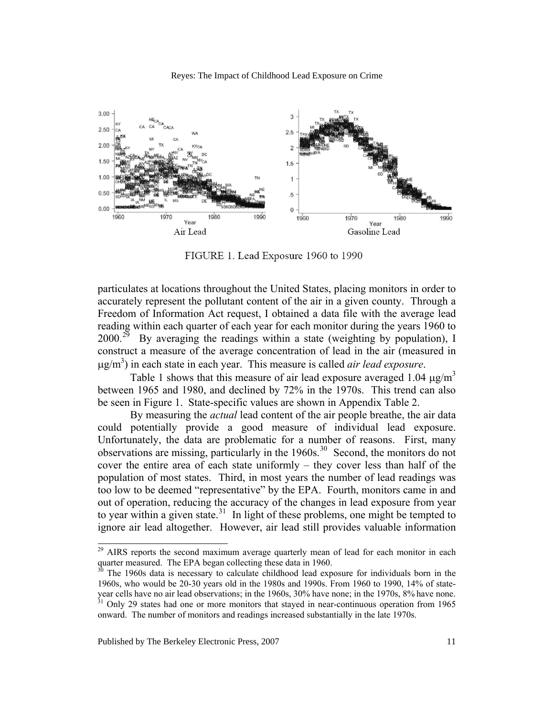Reyes: The Impact of Childhood Lead Exposure on Crime



FIGURE 1. Lead Exposure 1960 to 1990

particulates at locations throughout the United States, placing monitors in order to accurately represent the pollutant content of the air in a given county. Through a Freedom of Information Act request, I obtained a data file with the average lead reading within each quarter of each year for each monitor during the years 1960 to  $2000<sup>29</sup>$  $2000<sup>29</sup>$  $2000<sup>29</sup>$  By averaging the readings within a state (weighting by population), I construct a measure of the average concentration of lead in the air (measured in μg/m3 ) in each state in each year. This measure is called *air lead exposure*.

Table 1 shows that this measure of air lead exposure averaged 1.04  $\mu$ g/m<sup>3</sup> between 1965 and 1980, and declined by 72% in the 1970s. This trend can also be seen in Figure 1. State-specific values are shown in Appendix Table 2.

By measuring the *actual* lead content of the air people breathe, the air data could potentially provide a good measure of individual lead exposure. Unfortunately, the data are problematic for a number of reasons. First, many observations are missing, particularly in the  $1960s$ .<sup>[30](#page-12-1)</sup> Second, the monitors do not cover the entire area of each state uniformly – they cover less than half of the population of most states. Third, in most years the number of lead readings was too low to be deemed "representative" by the EPA. Fourth, monitors came in and out of operation, reducing the accuracy of the changes in lead exposure from year to year within a given state.<sup>[31](#page-12-2)</sup> In light of these problems, one might be tempted to ignore air lead altogether. However, air lead still provides valuable information

<span id="page-12-0"></span> $\overline{\phantom{a}}$  $29$  AIRS reports the second maximum average quarterly mean of lead for each monitor in each quarter measured. The EPA began collecting these data in 1960.<br><sup>30</sup> The 1960s data is necessary to calculate childhood lead exposure for individuals born in the

<span id="page-12-2"></span><span id="page-12-1"></span><sup>1960</sup>s, who would be 20-30 years old in the 1980s and 1990s. From 1960 to 1990, 14% of state-<br>year cells have no air lead observations; in the 1960s, 30% have none; in the 1970s, 8% have none. Only 29 states had one or more monitors that stayed in near-continuous operation from 1965 onward. The number of monitors and readings increased substantially in the late 1970s.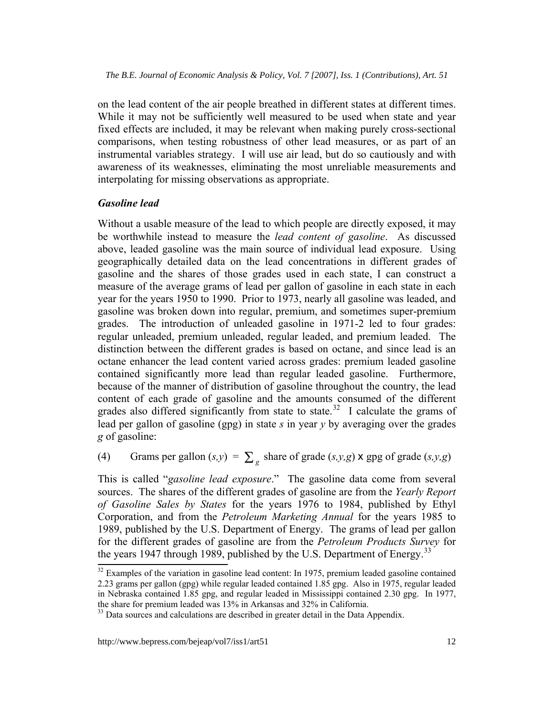on the lead content of the air people breathed in different states at different times. While it may not be sufficiently well measured to be used when state and year fixed effects are included, it may be relevant when making purely cross-sectional comparisons, when testing robustness of other lead measures, or as part of an instrumental variables strategy. I will use air lead, but do so cautiously and with awareness of its weaknesses, eliminating the most unreliable measurements and interpolating for missing observations as appropriate.

## *Gasoline lead*

Without a usable measure of the lead to which people are directly exposed, it may be worthwhile instead to measure the *lead content of gasoline*. As discussed above, leaded gasoline was the main source of individual lead exposure. Using geographically detailed data on the lead concentrations in different grades of gasoline and the shares of those grades used in each state, I can construct a measure of the average grams of lead per gallon of gasoline in each state in each year for the years 1950 to 1990. Prior to 1973, nearly all gasoline was leaded, and gasoline was broken down into regular, premium, and sometimes super-premium grades. The introduction of unleaded gasoline in 1971-2 led to four grades: regular unleaded, premium unleaded, regular leaded, and premium leaded. The distinction between the different grades is based on octane, and since lead is an octane enhancer the lead content varied across grades: premium leaded gasoline contained significantly more lead than regular leaded gasoline. Furthermore, because of the manner of distribution of gasoline throughout the country, the lead content of each grade of gasoline and the amounts consumed of the different grades also differed significantly from state to state.<sup>[32](#page-13-0)</sup> I calculate the grams of lead per gallon of gasoline (gpg) in state *s* in year *y* by averaging over the grades *g* of gasoline:

(4) Grams per gallon  $(s,y) = \sum_{g}$  share of grade  $(s,y,g)$  x gpg of grade  $(s,y,g)$ 

This is called "*gasoline lead exposure*." The gasoline data come from several sources. The shares of the different grades of gasoline are from the *Yearly Report of Gasoline Sales by States* for the years 1976 to 1984, published by Ethyl Corporation, and from the *Petroleum Marketing Annual* for the years 1985 to 1989, published by the U.S. Department of Energy. The grams of lead per gallon for the different grades of gasoline are from the *Petroleum Products Survey* for the years 1947 through 1989, published by the U.S. Department of Energy.<sup>[33](#page-13-1)</sup>  $\overline{a}$ 

<span id="page-13-0"></span> $32$  Examples of the variation in gasoline lead content: In 1975, premium leaded gasoline contained 2.23 grams per gallon (gpg) while regular leaded contained 1.85 gpg. Also in 1975, regular leaded in Nebraska contained 1.85 gpg, and regular leaded in Mississippi contained 2.30 gpg. In 1977, the share for premium leaded was 13% in Arkansas and 32% in California.<br><sup>33</sup> Data sources and calculations are described in greater detail in the Data Appendix.

<span id="page-13-1"></span>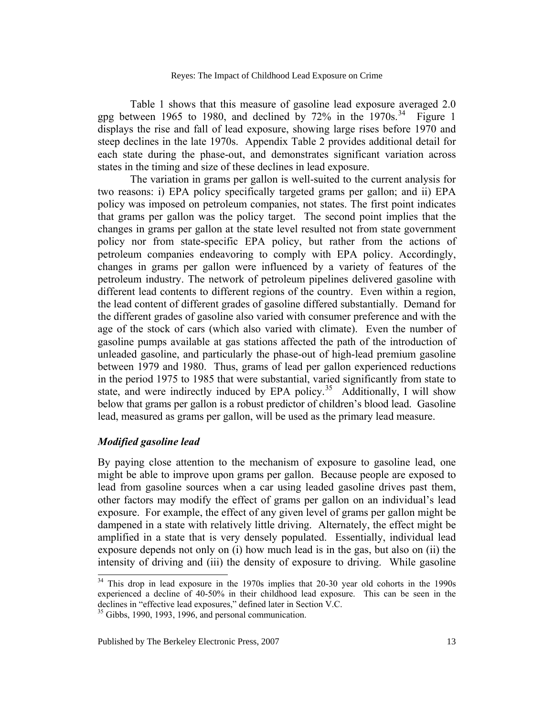Table 1 shows that this measure of gasoline lead exposure averaged 2.0 gpg between 1965 to 1980, and declined by  $72\%$  in the 1970s.<sup>[34](#page-14-0)</sup> Figure 1 displays the rise and fall of lead exposure, showing large rises before 1970 and steep declines in the late 1970s. Appendix Table 2 provides additional detail for each state during the phase-out, and demonstrates significant variation across states in the timing and size of these declines in lead exposure.

The variation in grams per gallon is well-suited to the current analysis for two reasons: i) EPA policy specifically targeted grams per gallon; and ii) EPA policy was imposed on petroleum companies, not states. The first point indicates that grams per gallon was the policy target. The second point implies that the changes in grams per gallon at the state level resulted not from state government policy nor from state-specific EPA policy, but rather from the actions of petroleum companies endeavoring to comply with EPA policy. Accordingly, changes in grams per gallon were influenced by a variety of features of the petroleum industry. The network of petroleum pipelines delivered gasoline with different lead contents to different regions of the country. Even within a region, the lead content of different grades of gasoline differed substantially. Demand for the different grades of gasoline also varied with consumer preference and with the age of the stock of cars (which also varied with climate). Even the number of gasoline pumps available at gas stations affected the path of the introduction of unleaded gasoline, and particularly the phase-out of high-lead premium gasoline between 1979 and 1980. Thus, grams of lead per gallon experienced reductions in the period 1975 to 1985 that were substantial, varied significantly from state to state, and were indirectly induced by EPA policy.<sup>[35](#page-14-1)</sup> Additionally, I will show below that grams per gallon is a robust predictor of children's blood lead. Gasoline lead, measured as grams per gallon, will be used as the primary lead measure.

#### *Modified gasoline lead*

By paying close attention to the mechanism of exposure to gasoline lead, one might be able to improve upon grams per gallon. Because people are exposed to lead from gasoline sources when a car using leaded gasoline drives past them, other factors may modify the effect of grams per gallon on an individual's lead exposure. For example, the effect of any given level of grams per gallon might be dampened in a state with relatively little driving. Alternately, the effect might be amplified in a state that is very densely populated. Essentially, individual lead exposure depends not only on (i) how much lead is in the gas, but also on (ii) the intensity of driving and (iii) the density of exposure to driving. While gasoline

<span id="page-14-0"></span> $\overline{a}$  $34$  This drop in lead exposure in the 1970s implies that 20-30 year old cohorts in the 1990s experienced a decline of 40-50% in their childhood lead exposure. This can be seen in the declines in "effective lead exposures," defined later in Section V.C.

<span id="page-14-1"></span> $35$  Gibbs, 1990, 1993, 1996, and personal communication.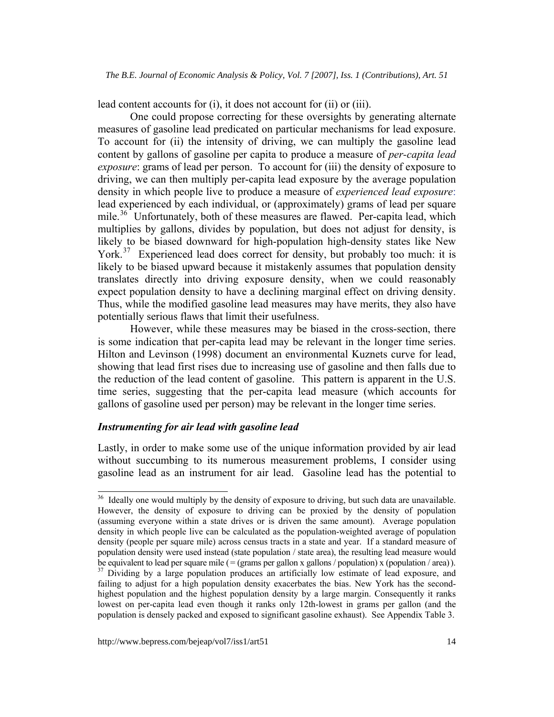lead content accounts for (i), it does not account for (ii) or (iii).

One could propose correcting for these oversights by generating alternate measures of gasoline lead predicated on particular mechanisms for lead exposure. To account for (ii) the intensity of driving, we can multiply the gasoline lead content by gallons of gasoline per capita to produce a measure of *per-capita lead exposure*: grams of lead per person. To account for (iii) the density of exposure to driving, we can then multiply per-capita lead exposure by the average population density in which people live to produce a measure of *experienced lead exposure*: lead experienced by each individual, or (approximately) grams of lead per square mile.<sup>[36](#page-15-0)</sup> Unfortunately, both of these measures are flawed. Per-capita lead, which multiplies by gallons, divides by population, but does not adjust for density, is likely to be biased downward for high-population high-density states like New York.<sup>[37](#page-15-1)</sup> Experienced lead does correct for density, but probably too much: it is likely to be biased upward because it mistakenly assumes that population density translates directly into driving exposure density, when we could reasonably expect population density to have a declining marginal effect on driving density. Thus, while the modified gasoline lead measures may have merits, they also have potentially serious flaws that limit their usefulness.

However, while these measures may be biased in the cross-section, there is some indication that per-capita lead may be relevant in the longer time series. Hilton and Levinson (1998) document an environmental Kuznets curve for lead, showing that lead first rises due to increasing use of gasoline and then falls due to the reduction of the lead content of gasoline. This pattern is apparent in the U.S. time series, suggesting that the per-capita lead measure (which accounts for gallons of gasoline used per person) may be relevant in the longer time series.

### *Instrumenting for air lead with gasoline lead*

 $\overline{1}$ 

Lastly, in order to make some use of the unique information provided by air lead without succumbing to its numerous measurement problems, I consider using gasoline lead as an instrument for air lead. Gasoline lead has the potential to

<span id="page-15-1"></span><span id="page-15-0"></span><sup>&</sup>lt;sup>36</sup> Ideally one would multiply by the density of exposure to driving, but such data are unavailable. However, the density of exposure to driving can be proxied by the density of population (assuming everyone within a state drives or is driven the same amount). Average population density in which people live can be calculated as the population-weighted average of population density (people per square mile) across census tracts in a state and year. If a standard measure of population density were used instead (state population / state area), the resulting lead measure would<br>be equivalent to lead per square mile  $(=(\text{grams per gallon x gallons / population}) \times (\text{population / area}))$ .  $37$  Dividing by a large population produces an artificially low estimate of lead exposure, and failing to adjust for a high population density exacerbates the bias. New York has the secondhighest population and the highest population density by a large margin. Consequently it ranks lowest on per-capita lead even though it ranks only 12th-lowest in grams per gallon (and the population is densely packed and exposed to significant gasoline exhaust). See Appendix Table 3.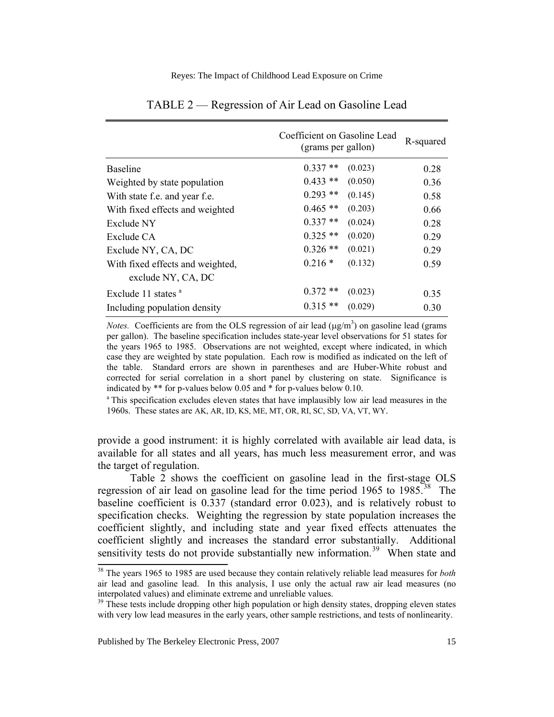|                                                        | Coefficient on Gasoline Lead<br>(grams per gallon) | R-squared |      |
|--------------------------------------------------------|----------------------------------------------------|-----------|------|
| <b>Baseline</b>                                        | $0.337**$                                          | (0.023)   | 0.28 |
| Weighted by state population                           | $0.433**$                                          | (0.050)   | 0.36 |
| With state f.e. and year f.e.                          | $0.293$ **                                         | (0.145)   | 0.58 |
| With fixed effects and weighted                        | $0.465**$                                          | (0.203)   | 0.66 |
| Exclude NY                                             | $0.337**$                                          | (0.024)   | 0.28 |
| Exclude CA                                             | $0.325**$                                          | (0.020)   | 0.29 |
| Exclude NY, CA, DC                                     | $0.326**$                                          | (0.021)   | 0.29 |
| With fixed effects and weighted,<br>exclude NY, CA, DC | $0.216*$                                           | (0.132)   | 0.59 |
| Exclude 11 states $a$                                  | $0.372**$                                          | (0.023)   | 0.35 |
| Including population density                           | $0.315**$                                          | (0.029)   | 0.30 |

## TABLE 2 — Regression of Air Lead on Gasoline Lead

*Notes.* Coefficients are from the OLS regression of air lead  $(\mu g/m^3)$  on gasoline lead (grams per gallon). The baseline specification includes state-year level observations for 51 states for the years 1965 to 1985. Observations are not weighted, except where indicated, in which case they are weighted by state population. Each row is modified as indicated on the left of the table. Standard errors are shown in parentheses and are Huber-White robust and corrected for serial correlation in a short panel by clustering on state. Significance is indicated by \*\* for p-values below 0.05 and \* for p-values below 0.10.

<sup>a</sup> This specification excludes eleven states that have implausibly low air lead measures in the 1960s. These states are AK, AR, ID, KS, ME, MT, OR, RI, SC, SD, VA, VT, WY.

provide a good instrument: it is highly correlated with available air lead data, is available for all states and all years, has much less measurement error, and was the target of regulation.

Table 2 shows the coefficient on gasoline lead in the first-stage OLS regression of air lead on gasoline lead for the time period 1965 to 1985.<sup>[38](#page-16-0)</sup> The baseline coefficient is 0.337 (standard error 0.023), and is relatively robust to specification checks. Weighting the regression by state population increases the coefficient slightly, and including state and year fixed effects attenuates the coefficient slightly and increases the standard error substantially. Additional sensitivity tests do not provide substantially new information.<sup>[39](#page-16-1)</sup> When state and

<span id="page-16-0"></span><sup>38</sup> The years 1965 to 1985 are used because they contain relatively reliable lead measures for *both* air lead and gasoline lead. In this analysis, I use only the actual raw air lead measures (no interpolated values) and eliminate extreme and unreliable values.<br><sup>39</sup> These tests include dropping other high population or high density states, dropping eleven states

<span id="page-16-1"></span>with very low lead measures in the early years, other sample restrictions, and tests of nonlinearity.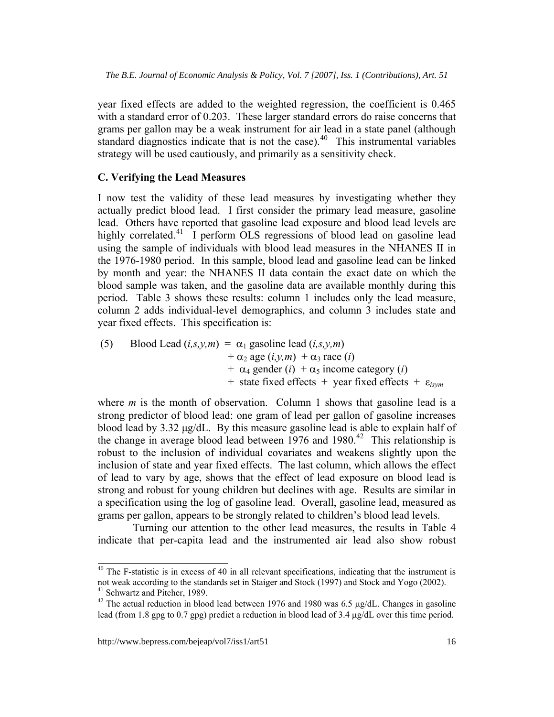year fixed effects are added to the weighted regression, the coefficient is 0.465 with a standard error of 0.203. These larger standard errors do raise concerns that grams per gallon may be a weak instrument for air lead in a state panel (although standard diagnostics indicate that is not the case).<sup>[40](#page-17-0)</sup> This instrumental variables strategy will be used cautiously, and primarily as a sensitivity check.

## **C. Verifying the Lead Measures**

I now test the validity of these lead measures by investigating whether they actually predict blood lead. I first consider the primary lead measure, gasoline lead. Others have reported that gasoline lead exposure and blood lead levels are highly correlated.<sup>[41](#page-17-1)</sup> I perform OLS regressions of blood lead on gasoline lead using the sample of individuals with blood lead measures in the NHANES II in the 1976-1980 period. In this sample, blood lead and gasoline lead can be linked by month and year: the NHANES II data contain the exact date on which the blood sample was taken, and the gasoline data are available monthly during this period. Table 3 shows these results: column 1 includes only the lead measure, column 2 adds individual-level demographics, and column 3 includes state and year fixed effects. This specification is:

(5) Blood Lead 
$$
(i,s,y,m)
$$
 =  $\alpha_1$  gasoline lead  $(i,s,y,m)$   
+  $\alpha_2$  age  $(i,y,m)$  +  $\alpha_3$  race  $(i)$   
+  $\alpha_4$  gender  $(i)$  +  $\alpha_5$  income category  $(i)$   
+ state fixed effects + year fixed effects +  $\varepsilon_{isym}$ 

where *m* is the month of observation. Column 1 shows that gasoline lead is a strong predictor of blood lead: one gram of lead per gallon of gasoline increases blood lead by 3.32 μg/dL. By this measure gasoline lead is able to explain half of the change in average blood lead between 1976 and 1980.<sup>[42](#page-17-2)</sup> This relationship is robust to the inclusion of individual covariates and weakens slightly upon the inclusion of state and year fixed effects. The last column, which allows the effect of lead to vary by age, shows that the effect of lead exposure on blood lead is strong and robust for young children but declines with age. Results are similar in a specification using the log of gasoline lead. Overall, gasoline lead, measured as grams per gallon, appears to be strongly related to children's blood lead levels.

 Turning our attention to the other lead measures, the results in Table 4 indicate that per-capita lead and the instrumented air lead also show robust

<span id="page-17-0"></span> $\overline{1}$  $40$  The F-statistic is in excess of 40 in all relevant specifications, indicating that the instrument is not weak according to the standards set in Staiger and Stock (1997) and Stock and Yogo (2002). 41 Schwartz and Pitcher, 1989.

<span id="page-17-2"></span><span id="page-17-1"></span><sup>&</sup>lt;sup>42</sup> The actual reduction in blood lead between 1976 and 1980 was 6.5 μg/dL. Changes in gasoline lead (from 1.8 gpg to 0.7 gpg) predict a reduction in blood lead of 3.4 μg/dL over this time period.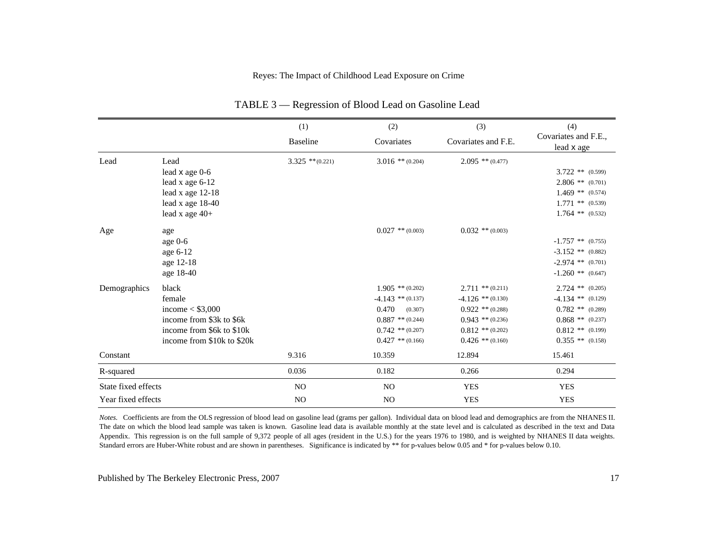#### Reyes: The Impact of Childhood Lead Exposure on Crime

|                     |                            | (1)                | (2)                  | (3)                  | (4)                                |
|---------------------|----------------------------|--------------------|----------------------|----------------------|------------------------------------|
|                     |                            | <b>Baseline</b>    | Covariates           | Covariates and F.E.  | Covariates and F.E.,<br>lead x age |
| Lead                | Lead                       | $3.325$ ** (0.221) | $3.016$ ** (0.204)   | $2.095$ ** (0.477)   |                                    |
|                     | lead $x$ age 0-6           |                    |                      |                      | $3.722$ ** $(0.599)$               |
|                     | lead x age 6-12            |                    |                      |                      | $2.806$ ** $(0.701)$               |
|                     | lead x age 12-18           |                    |                      |                      | $1.469$ ** $(0.574)$               |
|                     | lead x age 18-40           |                    |                      |                      | $1.771$ ** $(0.539)$               |
|                     | lead $x$ age $40+$         |                    |                      |                      | $1.764$ ** $(0.532)$               |
| Age                 | age                        |                    | $0.027$ ** $(0.003)$ | $0.032$ ** $(0.003)$ |                                    |
|                     | age $0-6$                  |                    |                      |                      | $-1.757$ ** (0.755)                |
|                     | age 6-12                   |                    |                      |                      | $-3.152$ ** (0.882)                |
|                     | age 12-18                  |                    |                      |                      | $-2.974$ ** (0.701)                |
|                     | age 18-40                  |                    |                      |                      | $-1.260$ ** $(0.647)$              |
| Demographics        | black                      |                    | $1.905$ ** (0.202)   | $2.711$ ** (0.211)   | $2.724$ ** $(0.205)$               |
|                     | female                     |                    | $-4.143$ ** (0.137)  | $-4.126$ ** (0.130)  | $-4.134$ ** (0.129)                |
|                     | income $<$ \$3,000         |                    | 0.470<br>(0.307)     | $0.922$ ** $(0.288)$ | $0.782$ ** $(0.289)$               |
|                     | income from \$3k to \$6k   |                    | $0.887$ ** $(0.244)$ | $0.943$ ** $(0.236)$ | $0.868$ ** $(0.237)$               |
|                     | income from \$6k to \$10k  |                    | $0.742$ ** $(0.207)$ | $0.812$ ** (0.202)   | $0.812$ ** $(0.199)$               |
|                     | income from \$10k to \$20k |                    | $0.427$ ** $(0.166)$ | $0.426$ ** $(0.160)$ | $0.355$ ** $(0.158)$               |
| Constant            |                            | 9.316              | 10.359               | 12.894               | 15.461                             |
| R-squared           |                            | 0.036              | 0.182                | 0.266                | 0.294                              |
| State fixed effects |                            | NO.                | N <sub>O</sub>       | <b>YES</b>           | <b>YES</b>                         |
| Year fixed effects  |                            | N <sub>O</sub>     | N <sub>O</sub>       | <b>YES</b>           | <b>YES</b>                         |

TABLE 3 — Regression of Blood Lead on Gasoline Lead

*Notes.* Coefficients are from the OLS regression of blood lead on gasoline lead (grams per gallon). Individual data on blood lead and demographics are from the NHANES II. The date on which the blood lead sample was taken is known. Gasoline lead data is available monthly at the state level and is calculated as described in the text and Data Appendix. This regression is on the full sample of 9,372 people of all ages (resident in the U.S.) for the years 1976 to 1980, and is weighted by NHANES II data weights. Standard errors are Huber-White robust and are shown in parentheses. Significance is indicated by \*\* for p-values below 0.05 and \* for p-values below 0.10.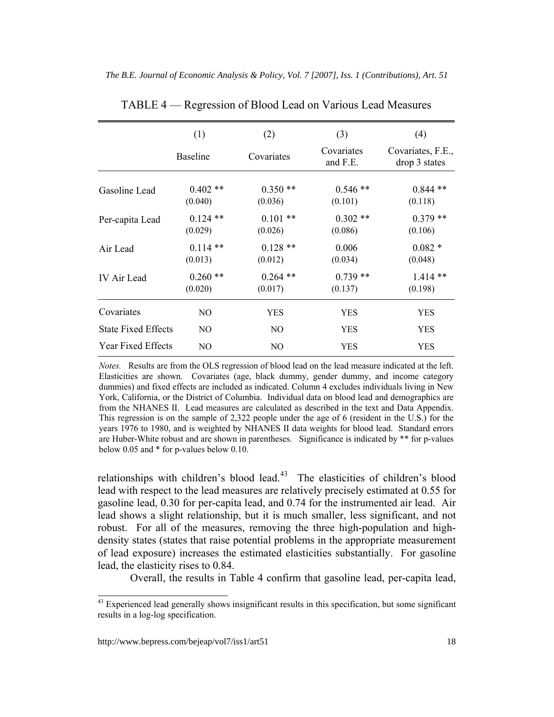|                            | (1)                   | (2)                   | (3)                    | (4)                                |
|----------------------------|-----------------------|-----------------------|------------------------|------------------------------------|
|                            | <b>Baseline</b>       | Covariates            | Covariates<br>and F.E. | Covariates, F.E.,<br>drop 3 states |
| Gasoline Lead              | $0.402**$<br>(0.040)  | $0.350**$<br>(0.036)  | $0.546**$<br>(0.101)   | $0.844**$<br>(0.118)               |
| Per-capita Lead            | $0.124$ **<br>(0.029) | $0.101**$<br>(0.026)  | $0.302**$<br>(0.086)   | $0.379**$<br>(0.106)               |
| Air Lead                   | $0.114**$<br>(0.013)  | $0.128**$<br>(0.012)  | 0.006<br>(0.034)       | $0.082*$<br>(0.048)                |
| <b>IV</b> Air Lead         | $0.260**$<br>(0.020)  | $0.264$ **<br>(0.017) | $0.739**$<br>(0.137)   | $1.414**$<br>(0.198)               |
| Covariates                 | NO.                   | <b>YES</b>            | YES                    | <b>YES</b>                         |
| <b>State Fixed Effects</b> | NO.                   | N <sub>O</sub>        | YES                    | YES                                |
| <b>Year Fixed Effects</b>  | NO.                   | N <sub>O</sub>        | YES                    | <b>YES</b>                         |

TABLE 4 — Regression of Blood Lead on Various Lead Measures

*Notes.* Results are from the OLS regression of blood lead on the lead measure indicated at the left. Elasticities are shown. Covariates (age, black dummy, gender dummy, and income category dummies) and fixed effects are included as indicated. Column 4 excludes individuals living in New York, California, or the District of Columbia. Individual data on blood lead and demographics are from the NHANES II. Lead measures are calculated as described in the text and Data Appendix. This regression is on the sample of 2,322 people under the age of 6 (resident in the U.S.) for the years 1976 to 1980, and is weighted by NHANES II data weights for blood lead. Standard errors are Huber-White robust and are shown in parentheses. Significance is indicated by \*\* for p-values below 0.05 and \* for p-values below 0.10.

relationships with children's blood lead.<sup>[43](#page-19-0)</sup> The elasticities of children's blood lead with respect to the lead measures are relatively precisely estimated at 0.55 for gasoline lead, 0.30 for per-capita lead, and 0.74 for the instrumented air lead. Air lead shows a slight relationship, but it is much smaller, less significant, and not robust. For all of the measures, removing the three high-population and highdensity states (states that raise potential problems in the appropriate measurement of lead exposure) increases the estimated elasticities substantially. For gasoline lead, the elasticity rises to 0.84.

Overall, the results in Table 4 confirm that gasoline lead, per-capita lead,

<span id="page-19-0"></span> $\overline{a}$  $43$  Experienced lead generally shows insignificant results in this specification, but some significant results in a log-log specification.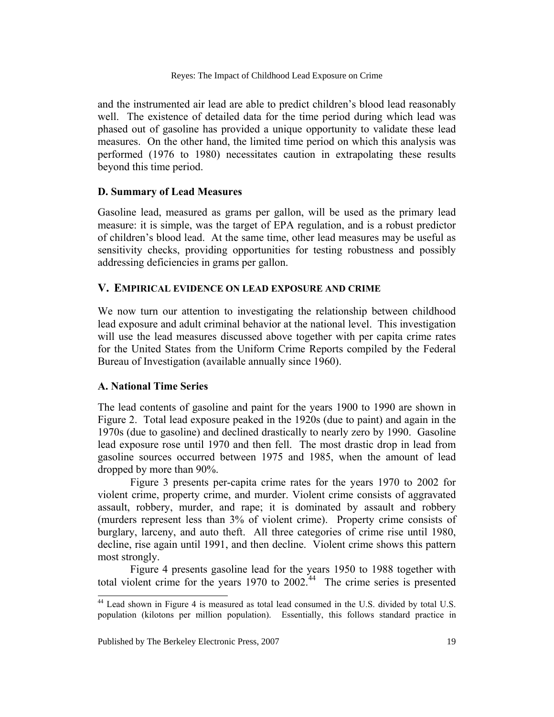and the instrumented air lead are able to predict children's blood lead reasonably well. The existence of detailed data for the time period during which lead was phased out of gasoline has provided a unique opportunity to validate these lead measures. On the other hand, the limited time period on which this analysis was performed (1976 to 1980) necessitates caution in extrapolating these results beyond this time period.

## **D. Summary of Lead Measures**

Gasoline lead, measured as grams per gallon, will be used as the primary lead measure: it is simple, was the target of EPA regulation, and is a robust predictor of children's blood lead. At the same time, other lead measures may be useful as sensitivity checks, providing opportunities for testing robustness and possibly addressing deficiencies in grams per gallon.

## **V. EMPIRICAL EVIDENCE ON LEAD EXPOSURE AND CRIME**

We now turn our attention to investigating the relationship between childhood lead exposure and adult criminal behavior at the national level. This investigation will use the lead measures discussed above together with per capita crime rates for the United States from the Uniform Crime Reports compiled by the Federal Bureau of Investigation (available annually since 1960).

## **A. National Time Series**

The lead contents of gasoline and paint for the years 1900 to 1990 are shown in Figure 2. Total lead exposure peaked in the 1920s (due to paint) and again in the 1970s (due to gasoline) and declined drastically to nearly zero by 1990. Gasoline lead exposure rose until 1970 and then fell. The most drastic drop in lead from gasoline sources occurred between 1975 and 1985, when the amount of lead dropped by more than 90%.

 Figure 3 presents per-capita crime rates for the years 1970 to 2002 for violent crime, property crime, and murder. Violent crime consists of aggravated assault, robbery, murder, and rape; it is dominated by assault and robbery (murders represent less than 3% of violent crime). Property crime consists of burglary, larceny, and auto theft. All three categories of crime rise until 1980, decline, rise again until 1991, and then decline. Violent crime shows this pattern most strongly.

 Figure 4 presents gasoline lead for the years 1950 to 1988 together with total violent crime for the years  $1970$  to  $2002<sup>44</sup>$  $2002<sup>44</sup>$  $2002<sup>44</sup>$ . The crime series is presented

<span id="page-20-0"></span> $\overline{1}$ <sup>44</sup> Lead shown in Figure 4 is measured as total lead consumed in the U.S. divided by total U.S. population (kilotons per million population). Essentially, this follows standard practice in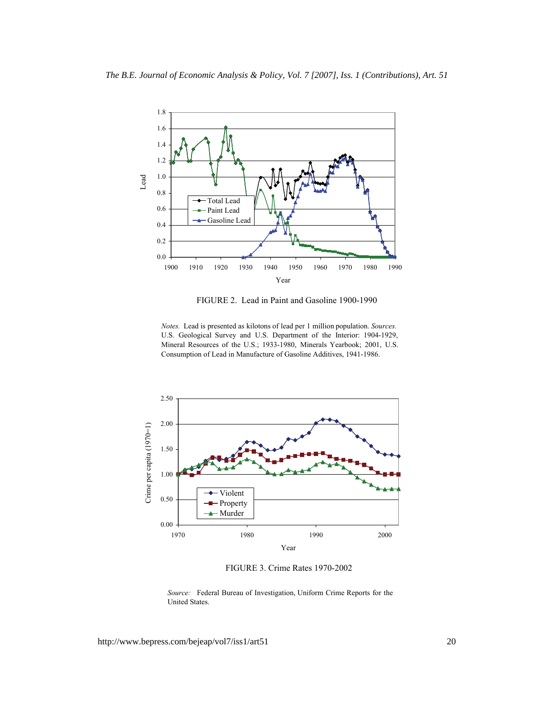

FIGURE 2. Lead in Paint and Gasoline 1900-1990





FIGURE 3. Crime Rates 1970-2002

*Source:* Federal Bureau of Investigation, Uniform Crime Reports for the United States.

http://www.bepress.com/bejeap/vol7/iss1/art51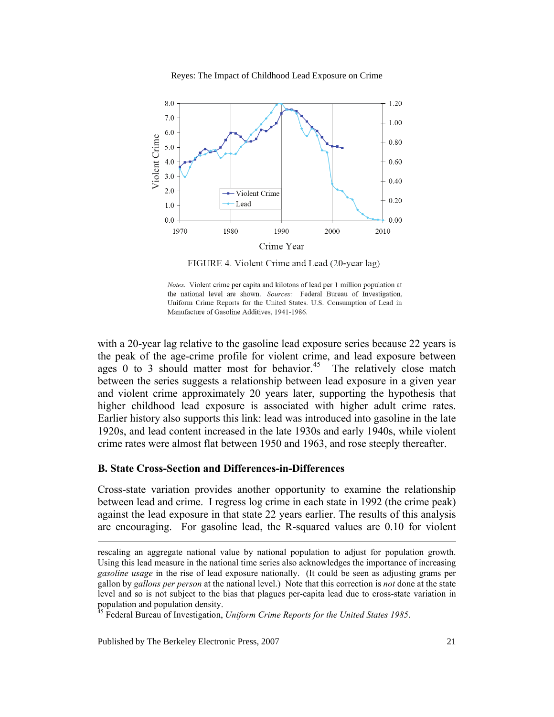Reyes: The Impact of Childhood Lead Exposure on Crime



FIGURE 4. Violent Crime and Lead (20-year lag)

Notes. Violent crime per capita and kilotons of lead per 1 million population at the national level are shown. Sources: Federal Bureau of Investigation, Uniform Crime Reports for the United States. U.S. Consumption of Lead in Manufacture of Gasoline Additives, 1941-1986.

with a 20-year lag relative to the gasoline lead exposure series because 22 years is the peak of the age-crime profile for violent crime, and lead exposure between ages 0 to 3 should matter most for behavior.<sup>[45](#page-22-0)</sup> The relatively close match between the series suggests a relationship between lead exposure in a given year and violent crime approximately 20 years later, supporting the hypothesis that higher childhood lead exposure is associated with higher adult crime rates. Earlier history also supports this link: lead was introduced into gasoline in the late 1920s, and lead content increased in the late 1930s and early 1940s, while violent crime rates were almost flat between 1950 and 1963, and rose steeply thereafter.

#### **B. State Cross-Section and Differences-in-Differences**

Cross-state variation provides another opportunity to examine the relationship between lead and crime. I regress log crime in each state in 1992 (the crime peak) against the lead exposure in that state 22 years earlier. The results of this analysis are encouraging. For gasoline lead, the R-squared values are 0.10 for violent

rescaling an aggregate national value by national population to adjust for population growth. Using this lead measure in the national time series also acknowledges the importance of increasing *gasoline usage* in the rise of lead exposure nationally. (It could be seen as adjusting grams per gallon by *gallons per person* at the national level.) Note that this correction is *not* done at the state level and so is not subject to the bias that plagues per-capita lead due to cross-state variation in population and population density.

<span id="page-22-0"></span><sup>45</sup> Federal Bureau of Investigation, *Uniform Crime Reports for the United States 1985*.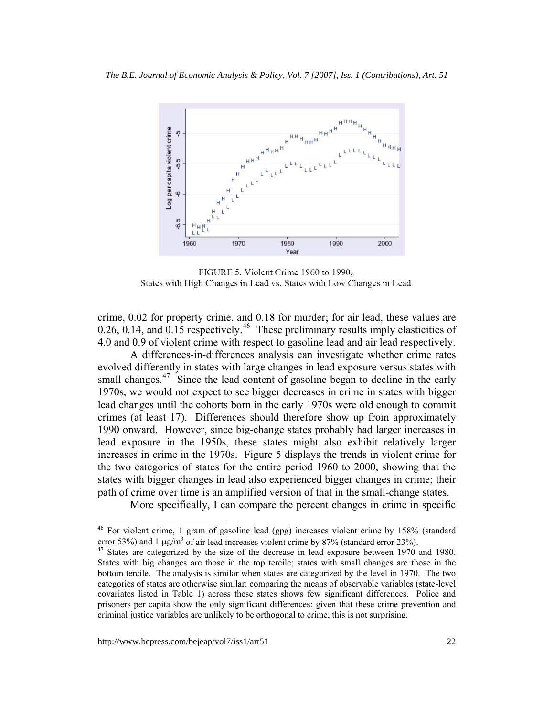

FIGURE 5. Violent Crime 1960 to 1990, States with High Changes in Lead vs. States with Low Changes in Lead

crime, 0.02 for property crime, and 0.18 for murder; for air lead, these values are 0.26, 0.14, and  $0.15$  respectively.<sup>[46](#page-23-0)</sup> These preliminary results imply elasticities of 4.0 and 0.9 of violent crime with respect to gasoline lead and air lead respectively.

 A differences-in-differences analysis can investigate whether crime rates evolved differently in states with large changes in lead exposure versus states with small changes.<sup>[47](#page-23-1)</sup> Since the lead content of gasoline began to decline in the early 1970s, we would not expect to see bigger decreases in crime in states with bigger lead changes until the cohorts born in the early 1970s were old enough to commit crimes (at least 17). Differences should therefore show up from approximately 1990 onward. However, since big-change states probably had larger increases in lead exposure in the 1950s, these states might also exhibit relatively larger increases in crime in the 1970s. Figure 5 displays the trends in violent crime for the two categories of states for the entire period 1960 to 2000, showing that the states with bigger changes in lead also experienced bigger changes in crime; their path of crime over time is an amplified version of that in the small-change states.

More specifically, I can compare the percent changes in crime in specific

<span id="page-23-0"></span> $\frac{1}{4}$ <sup>46</sup> For violent crime, 1 gram of gasoline lead (gpg) increases violent crime by 158% (standard error 53%) and 1  $\mu$ g/m<sup>3</sup> of air lead increases violent crime by 87% (standard error 23%).

<span id="page-23-1"></span> $47$  States are categorized by the size of the decrease in lead exposure between 1970 and 1980. States with big changes are those in the top tercile; states with small changes are those in the bottom tercile. The analysis is similar when states are categorized by the level in 1970. The two categories of states are otherwise similar: comparing the means of observable variables (state-level covariates listed in Table 1) across these states shows few significant differences. Police and prisoners per capita show the only significant differences; given that these crime prevention and criminal justice variables are unlikely to be orthogonal to crime, this is not surprising.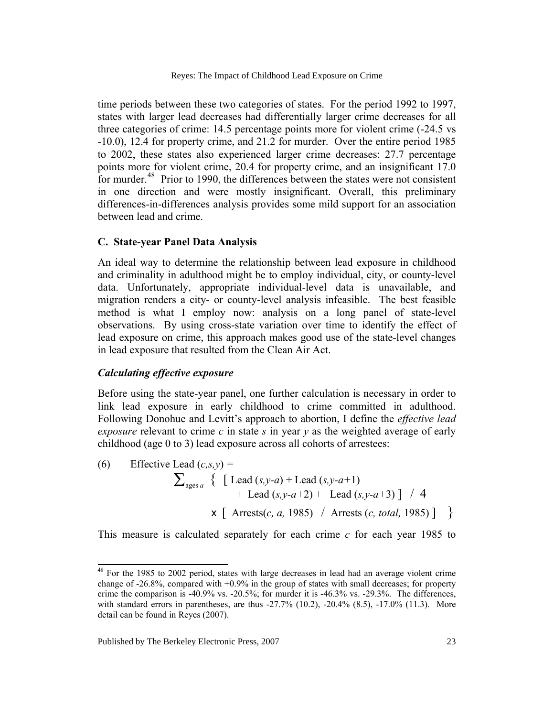time periods between these two categories of states. For the period 1992 to 1997, states with larger lead decreases had differentially larger crime decreases for all three categories of crime: 14.5 percentage points more for violent crime (-24.5 vs -10.0), 12.4 for property crime, and 21.2 for murder. Over the entire period 1985 to 2002, these states also experienced larger crime decreases: 27.7 percentage points more for violent crime, 20.4 for property crime, and an insignificant 17.0 for murder.<sup>[48](#page-24-0)</sup> Prior to 1990, the differences between the states were not consistent in one direction and were mostly insignificant. Overall, this preliminary differences-in-differences analysis provides some mild support for an association between lead and crime.

## **C. State-year Panel Data Analysis**

An ideal way to determine the relationship between lead exposure in childhood and criminality in adulthood might be to employ individual, city, or county-level data. Unfortunately, appropriate individual-level data is unavailable, and migration renders a city- or county-level analysis infeasible. The best feasible method is what I employ now: analysis on a long panel of state-level observations. By using cross-state variation over time to identify the effect of lead exposure on crime, this approach makes good use of the state-level changes in lead exposure that resulted from the Clean Air Act.

## *Calculating effective exposure*

Before using the state-year panel, one further calculation is necessary in order to link lead exposure in early childhood to crime committed in adulthood. Following Donohue and Levitt's approach to abortion, I define the *effective lead exposure* relevant to crime *c* in state *s* in year *y* as the weighted average of early childhood (age 0 to 3) lead exposure across all cohorts of arrestees:

(6) Effective Lead 
$$
(c,s,y)
$$
 =  
\n
$$
\sum_{\text{ages } a} \left\{ \begin{array}{ll} [\text{ Lead } (s,y-a) + \text{ Lead } (s,y-a+1) \\ + \text{ Lead } (s,y-a+2) + \text{ Lead } (s,y-a+3) \end{array}] / 4 \right. \times [\text{Arrests}(c, a, 1985) / \text{Arrests } (c, total, 1985)] \right\}
$$

This measure is calculated separately for each crime *c* for each year 1985 to

<span id="page-24-0"></span> $\overline{1}$ <sup>48</sup> For the 1985 to 2002 period, states with large decreases in lead had an average violent crime change of  $-26.8\%$ , compared with  $+0.9\%$  in the group of states with small decreases; for property crime the comparison is  $-40.9\%$  vs.  $-20.5\%$ ; for murder it is  $-46.3\%$  vs.  $-29.3\%$ . The differences, with standard errors in parentheses, are thus -27.7% (10.2), -20.4% (8.5), -17.0% (11.3). More detail can be found in Reyes (2007).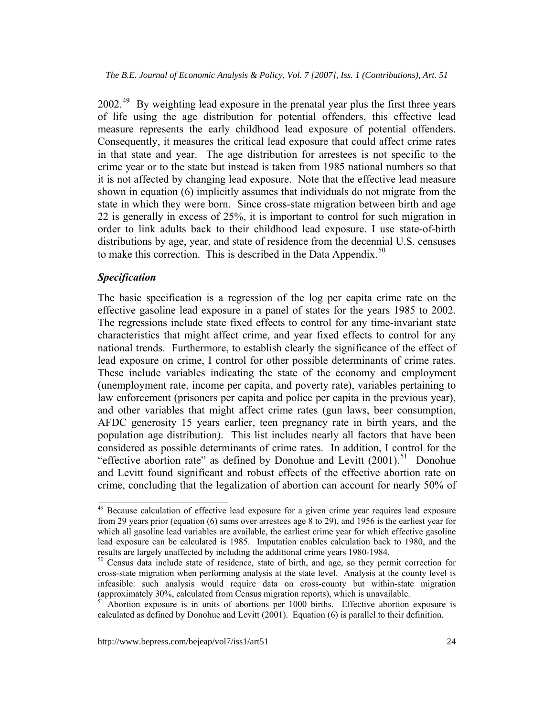$2002<sup>49</sup>$  $2002<sup>49</sup>$  $2002<sup>49</sup>$  By weighting lead exposure in the prenatal year plus the first three years of life using the age distribution for potential offenders, this effective lead measure represents the early childhood lead exposure of potential offenders. Consequently, it measures the critical lead exposure that could affect crime rates in that state and year. The age distribution for arrestees is not specific to the crime year or to the state but instead is taken from 1985 national numbers so that it is not affected by changing lead exposure. Note that the effective lead measure shown in equation (6) implicitly assumes that individuals do not migrate from the state in which they were born. Since cross-state migration between birth and age 22 is generally in excess of 25%, it is important to control for such migration in order to link adults back to their childhood lead exposure. I use state-of-birth distributions by age, year, and state of residence from the decennial U.S. censuses to make this correction. This is described in the Data Appendix.<sup>[50](#page-25-1)</sup>

## *Specification*

The basic specification is a regression of the log per capita crime rate on the effective gasoline lead exposure in a panel of states for the years 1985 to 2002. The regressions include state fixed effects to control for any time-invariant state characteristics that might affect crime, and year fixed effects to control for any national trends. Furthermore, to establish clearly the significance of the effect of lead exposure on crime, I control for other possible determinants of crime rates. These include variables indicating the state of the economy and employment (unemployment rate, income per capita, and poverty rate), variables pertaining to law enforcement (prisoners per capita and police per capita in the previous year), and other variables that might affect crime rates (gun laws, beer consumption, AFDC generosity 15 years earlier, teen pregnancy rate in birth years, and the population age distribution). This list includes nearly all factors that have been considered as possible determinants of crime rates. In addition, I control for the "effective abortion rate" as defined by Donohue and Levitt  $(2001)$ .<sup>[51](#page-25-2)</sup> Donohue and Levitt found significant and robust effects of the effective abortion rate on crime, concluding that the legalization of abortion can account for nearly 50% of

<span id="page-25-0"></span> $\overline{1}$ <sup>49</sup> Because calculation of effective lead exposure for a given crime year requires lead exposure from 29 years prior (equation (6) sums over arrestees age 8 to 29), and 1956 is the earliest year for which all gasoline lead variables are available, the earliest crime year for which effective gasoline lead exposure can be calculated is 1985. Imputation enables calculation back to 1980, and the results are largely unaffected by including the additional crime years 1980-1984. 50 Census data include state of residence, state of birth, and age, so they permit correction for

<span id="page-25-1"></span>cross-state migration when performing analysis at the state level. Analysis at the county level is infeasible: such analysis would require data on cross-county but within-state migration (approximately 30%, calculated from Census migration reports), which is unavailable.

<span id="page-25-2"></span><sup>51</sup> Abortion exposure is in units of abortions per 1000 births. Effective abortion exposure is calculated as defined by Donohue and Levitt (2001). Equation (6) is parallel to their definition.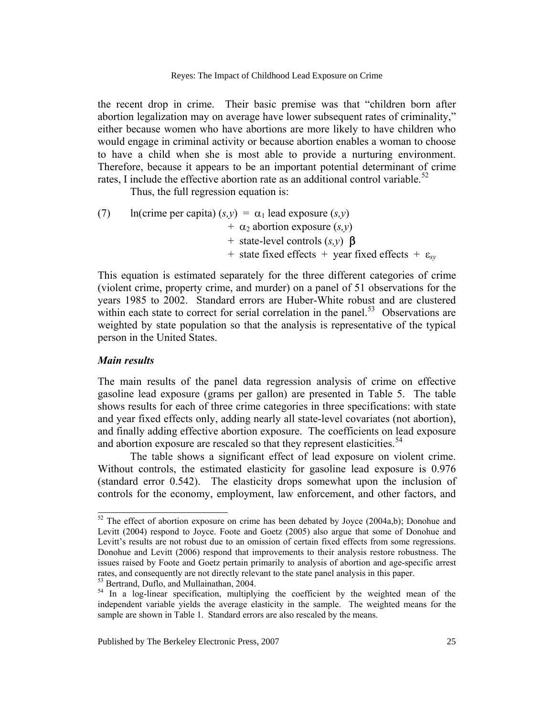#### Reyes: The Impact of Childhood Lead Exposure on Crime

the recent drop in crime. Their basic premise was that "children born after abortion legalization may on average have lower subsequent rates of criminality," either because women who have abortions are more likely to have children who would engage in criminal activity or because abortion enables a woman to choose to have a child when she is most able to provide a nurturing environment. Therefore, because it appears to be an important potential determinant of crime rates, I include the effective abortion rate as an additional control variable.<sup>[52](#page-26-0)</sup>

Thus, the full regression equation is:

(7) In( crime per capita) 
$$
(s,y) = \alpha_1
$$
 lead exposure  $(s,y)$   
+  $\alpha_2$  abortion exposure  $(s,y)$   
+ state-level controls  $(s,y)$   $\beta$   
+ state fixed effects + year fixed effects +  $\varepsilon_{sy}$ 

This equation is estimated separately for the three different categories of crime (violent crime, property crime, and murder) on a panel of 51 observations for the years 1985 to 2002. Standard errors are Huber-White robust and are clustered within each state to correct for serial correlation in the panel.<sup>[53](#page-26-1)</sup> Observations are weighted by state population so that the analysis is representative of the typical person in the United States.

## *Main results*

The main results of the panel data regression analysis of crime on effective gasoline lead exposure (grams per gallon) are presented in Table 5. The table shows results for each of three crime categories in three specifications: with state and year fixed effects only, adding nearly all state-level covariates (not abortion), and finally adding effective abortion exposure. The coefficients on lead exposure and abortion exposure are rescaled so that they represent elasticities.<sup>[54](#page-26-2)</sup>

 The table shows a significant effect of lead exposure on violent crime. Without controls, the estimated elasticity for gasoline lead exposure is 0.976 (standard error 0.542). The elasticity drops somewhat upon the inclusion of controls for the economy, employment, law enforcement, and other factors, and

<span id="page-26-1"></span>53 Bertrand, Duflo, and Mullainathan, 2004.

<span id="page-26-0"></span> $\overline{a}$  $52$  The effect of abortion exposure on crime has been debated by Joyce (2004a,b); Donohue and Levitt (2004) respond to Joyce. Foote and Goetz (2005) also argue that some of Donohue and Levitt's results are not robust due to an omission of certain fixed effects from some regressions. Donohue and Levitt (2006) respond that improvements to their analysis restore robustness. The issues raised by Foote and Goetz pertain primarily to analysis of abortion and age-specific arrest rates, and consequently are not directly relevant to the state panel analysis in this paper.

<span id="page-26-2"></span><sup>&</sup>lt;sup>54</sup> In a log-linear specification, multiplying the coefficient by the weighted mean of the independent variable yields the average elasticity in the sample. The weighted means for the sample are shown in Table 1. Standard errors are also rescaled by the means.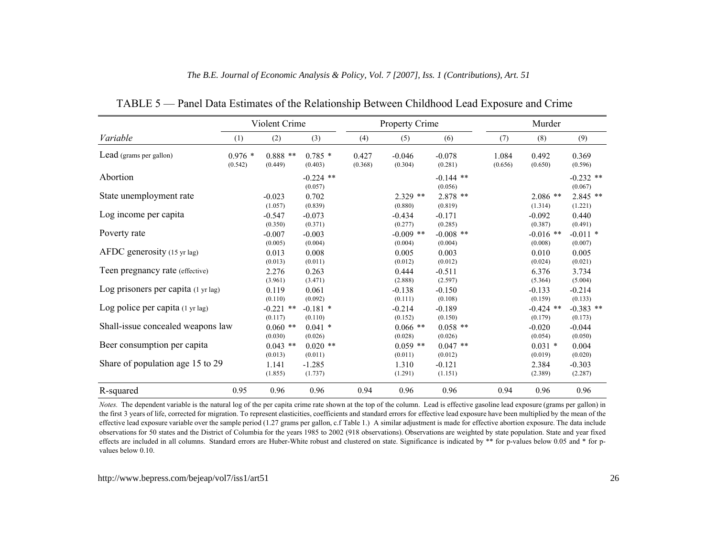|                                     |                     | Violent Crime          |                        |                  | Property Crime         |                        |                  | Murder                 |                        |
|-------------------------------------|---------------------|------------------------|------------------------|------------------|------------------------|------------------------|------------------|------------------------|------------------------|
| Variable                            | (1)                 | (2)                    | (3)                    | (4)              | (5)                    | (6)                    | (7)              | (8)                    | (9)                    |
| Lead (grams per gallon)             | $0.976*$<br>(0.542) | $0.888$ **<br>(0.449)  | $0.785*$<br>(0.403)    | 0.427<br>(0.368) | $-0.046$<br>(0.304)    | $-0.078$<br>(0.281)    | 1.084<br>(0.656) | 0.492<br>(0.650)       | 0.369<br>(0.596)       |
| Abortion                            |                     |                        | $-0.224$ **<br>(0.057) |                  |                        | $-0.144$ **<br>(0.056) |                  |                        | $-0.232$ **<br>(0.067) |
| State unemployment rate             |                     | $-0.023$<br>(1.057)    | 0.702<br>(0.839)       |                  | $2.329$ **<br>(0.880)  | $2.878$ **<br>(0.819)  |                  | $2.086$ **<br>(1.314)  | 2.845 **<br>(1.221)    |
| Log income per capita               |                     | $-0.547$<br>(0.350)    | $-0.073$<br>(0.371)    |                  | $-0.434$<br>(0.277)    | $-0.171$<br>(0.285)    |                  | $-0.092$<br>(0.387)    | 0.440<br>(0.491)       |
| Poverty rate                        |                     | $-0.007$<br>(0.005)    | $-0.003$<br>(0.004)    |                  | $-0.009$ **<br>(0.004) | $-0.008$ **<br>(0.004) |                  | $-0.016$ **<br>(0.008) | $-0.011$ *<br>(0.007)  |
| AFDC generosity (15 yr lag)         |                     | 0.013<br>(0.013)       | 0.008<br>(0.011)       |                  | 0.005<br>(0.012)       | 0.003<br>(0.012)       |                  | 0.010<br>(0.024)       | 0.005<br>(0.021)       |
| Teen pregnancy rate (effective)     |                     | 2.276<br>(3.961)       | 0.263<br>(3.471)       |                  | 0.444<br>(2.888)       | $-0.511$<br>(2.597)    |                  | 6.376<br>(5.364)       | 3.734<br>(5.004)       |
| Log prisoners per capita (1 yr lag) |                     | 0.119<br>(0.110)       | 0.061<br>(0.092)       |                  | $-0.138$<br>(0.111)    | $-0.150$<br>(0.108)    |                  | $-0.133$<br>(0.159)    | $-0.214$<br>(0.133)    |
| Log police per capita (1 yr lag)    |                     | $-0.221$ **<br>(0.117) | $-0.181$ *<br>(0.110)  |                  | $-0.214$<br>(0.152)    | $-0.189$<br>(0.150)    |                  | $-0.424$ **<br>(0.179) | $-0.383$ **<br>(0.173) |
| Shall-issue concealed weapons law   |                     | $0.060$ **<br>(0.030)  | $0.041$ *<br>(0.026)   |                  | $0.066$ **<br>(0.028)  | $0.058$ **<br>(0.026)  |                  | $-0.020$<br>(0.054)    | $-0.044$<br>(0.050)    |
| Beer consumption per capita         |                     | $0.043$ **<br>(0.013)  | $0.020$ **<br>(0.011)  |                  | $0.059$ **<br>(0.011)  | $0.047$ **<br>(0.012)  |                  | $0.031$ *<br>(0.019)   | 0.004<br>(0.020)       |
| Share of population age 15 to 29    |                     | 1.141<br>(1.855)       | $-1.285$<br>(1.737)    |                  | 1.310<br>(1.291)       | $-0.121$<br>(1.151)    |                  | 2.384<br>(2.389)       | $-0.303$<br>(2.287)    |
| R-squared                           | 0.95                | 0.96                   | 0.96                   | 0.94             | 0.96                   | 0.96                   | 0.94             | 0.96                   | 0.96                   |

*The B.E. Journal of Economic Analysis & Policy, Vol. 7 [2007], Iss. 1 (Contributions), Art. 51*

TABLE 5 — Panel Data Estimates of the Relationship Between Childhood Lead Exposure and Crime

*Notes.* The dependent variable is the natural log of the per capita crime rate shown at the top of the column. Lead is effective gasoline lead exposure (grams per gallon) in the first 3 years of life, corrected for migration. To represen<sup>t</sup> elasticities, coefficients and standard errors for effective lead exposure have been multiplied by the mean of the effective lead exposure variable over the sample period (1.27 grams per gallon, c.f Table 1.) A similar adjustment is made for effective abortion exposure. The data include observations for 50 states and the District of Columbia for the years 1985 to 2002 (918 observations). Observations are weighted by state population. State and year fixed effects are included in all columns. Standard errors are Huber-White robust and clustered on state. Significance is indicated by \*\* for p-values below 0.05 and \* for pvalues below 0.10.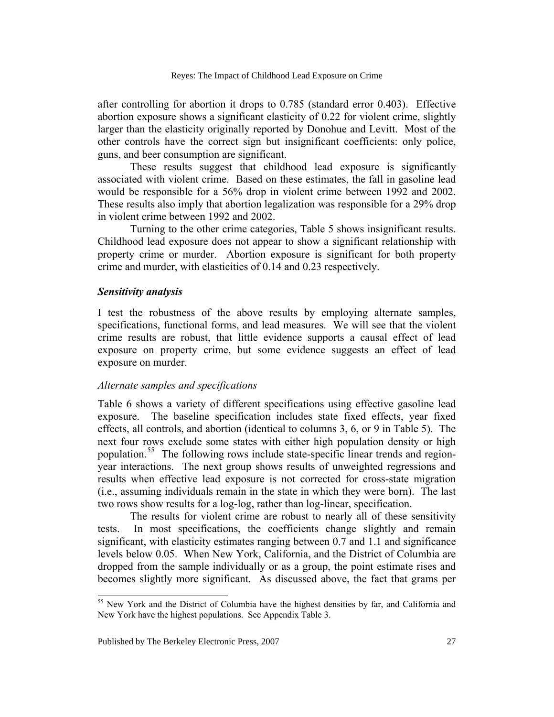after controlling for abortion it drops to 0.785 (standard error 0.403). Effective abortion exposure shows a significant elasticity of 0.22 for violent crime, slightly larger than the elasticity originally reported by Donohue and Levitt. Most of the other controls have the correct sign but insignificant coefficients: only police, guns, and beer consumption are significant.

These results suggest that childhood lead exposure is significantly associated with violent crime. Based on these estimates, the fall in gasoline lead would be responsible for a 56% drop in violent crime between 1992 and 2002. These results also imply that abortion legalization was responsible for a 29% drop in violent crime between 1992 and 2002.

 Turning to the other crime categories, Table 5 shows insignificant results. Childhood lead exposure does not appear to show a significant relationship with property crime or murder. Abortion exposure is significant for both property crime and murder, with elasticities of 0.14 and 0.23 respectively.

#### *Sensitivity analysis*

I test the robustness of the above results by employing alternate samples, specifications, functional forms, and lead measures. We will see that the violent crime results are robust, that little evidence supports a causal effect of lead exposure on property crime, but some evidence suggests an effect of lead exposure on murder.

## *Alternate samples and specifications*

Table 6 shows a variety of different specifications using effective gasoline lead exposure. The baseline specification includes state fixed effects, year fixed effects, all controls, and abortion (identical to columns 3, 6, or 9 in Table 5). The next four rows exclude some states with either high population density or high population.[55](#page-28-0) The following rows include state-specific linear trends and regionyear interactions. The next group shows results of unweighted regressions and results when effective lead exposure is not corrected for cross-state migration (i.e., assuming individuals remain in the state in which they were born). The last two rows show results for a log-log, rather than log-linear, specification.

 The results for violent crime are robust to nearly all of these sensitivity tests. In most specifications, the coefficients change slightly and remain significant, with elasticity estimates ranging between 0.7 and 1.1 and significance levels below 0.05. When New York, California, and the District of Columbia are dropped from the sample individually or as a group, the point estimate rises and becomes slightly more significant. As discussed above, the fact that grams per

<span id="page-28-0"></span> $\overline{a}$ <sup>55</sup> New York and the District of Columbia have the highest densities by far, and California and New York have the highest populations. See Appendix Table 3.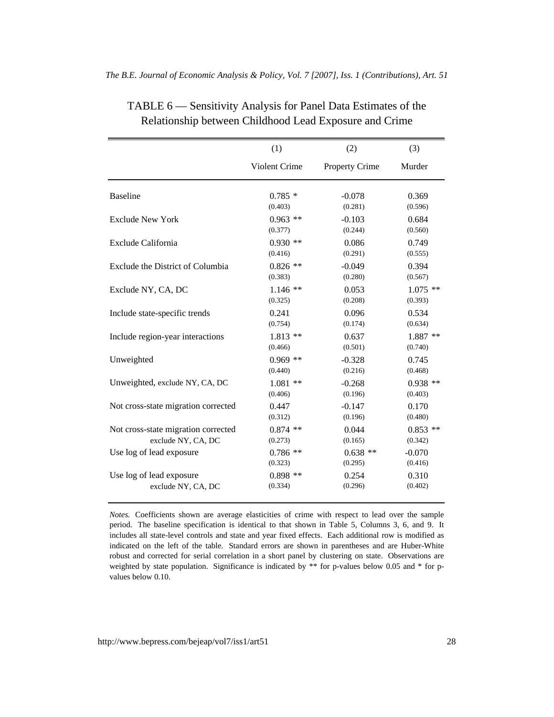|                                     | (1)           | (2)            | (3)        |
|-------------------------------------|---------------|----------------|------------|
|                                     | Violent Crime | Property Crime | Murder     |
| <b>Baseline</b>                     | $0.785*$      | $-0.078$       | 0.369      |
| <b>Exclude New York</b>             | (0.403)       | (0.281)        | (0.596)    |
|                                     | $0.963$ **    | $-0.103$       | 0.684      |
| Exclude California                  | (0.377)       | (0.244)        | (0.560)    |
|                                     | $0.930**$     | 0.086          | 0.749      |
| Exclude the District of Columbia    | (0.416)       | (0.291)        | (0.555)    |
|                                     | $0.826$ **    | $-0.049$       | 0.394      |
| Exclude NY, CA, DC                  | (0.383)       | (0.280)        | (0.567)    |
|                                     | $1.146$ **    | 0.053          | $1.075$ ** |
| Include state-specific trends       | (0.325)       | (0.208)        | (0.393)    |
|                                     | 0.241         | 0.096          | 0.534      |
| Include region-year interactions    | (0.754)       | (0.174)        | (0.634)    |
|                                     | $1.813$ **    | 0.637          | $1.887**$  |
| Unweighted                          | (0.466)       | (0.501)        | (0.740)    |
|                                     | $0.969$ **    | $-0.328$       | 0.745      |
| Unweighted, exclude NY, CA, DC      | (0.440)       | (0.216)        | (0.468)    |
|                                     | $1.081$ **    | $-0.268$       | $0.938**$  |
| Not cross-state migration corrected | (0.406)       | (0.196)        | (0.403)    |
|                                     | 0.447         | $-0.147$       | 0.170      |
| Not cross-state migration corrected | (0.312)       | (0.196)        | (0.480)    |
|                                     | $0.874$ **    | 0.044          | $0.853$ ** |
| exclude NY, CA, DC                  | (0.273)       | (0.165)        | (0.342)    |
| Use log of lead exposure            | $0.786$ **    | $0.638**$      | $-0.070$   |
| Use log of lead exposure            | (0.323)       | (0.295)        | (0.416)    |
|                                     | $0.898$ **    | 0.254          | 0.310      |
| exclude NY, CA, DC                  | (0.334)       | (0.296)        | (0.402)    |

## TABLE 6 — Sensitivity Analysis for Panel Data Estimates of the Relationship between Childhood Lead Exposure and Crime

*Notes.* Coefficients shown are average elasticities of crime with respect to lead over the sample period. The baseline specification is identical to that shown in Table 5, Columns 3, 6, and 9. It includes all state-level controls and state and year fixed effects. Each additional row is modified as indicated on the left of the table. Standard errors are shown in parentheses and are Huber-White robust and corrected for serial correlation in a short panel by clustering on state. Observations are weighted by state population. Significance is indicated by \*\* for p-values below 0.05 and \* for pvalues below 0.10.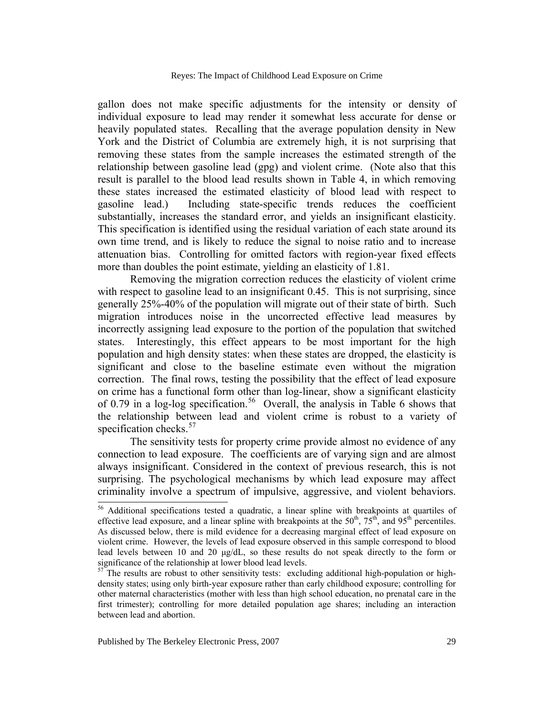gallon does not make specific adjustments for the intensity or density of individual exposure to lead may render it somewhat less accurate for dense or heavily populated states. Recalling that the average population density in New York and the District of Columbia are extremely high, it is not surprising that removing these states from the sample increases the estimated strength of the relationship between gasoline lead (gpg) and violent crime. (Note also that this result is parallel to the blood lead results shown in Table 4, in which removing these states increased the estimated elasticity of blood lead with respect to gasoline lead.) Including state-specific trends reduces the coefficient substantially, increases the standard error, and yields an insignificant elasticity. This specification is identified using the residual variation of each state around its own time trend, and is likely to reduce the signal to noise ratio and to increase attenuation bias. Controlling for omitted factors with region-year fixed effects more than doubles the point estimate, yielding an elasticity of 1.81.

Removing the migration correction reduces the elasticity of violent crime with respect to gasoline lead to an insignificant 0.45. This is not surprising, since generally 25%-40% of the population will migrate out of their state of birth. Such migration introduces noise in the uncorrected effective lead measures by incorrectly assigning lead exposure to the portion of the population that switched states. Interestingly, this effect appears to be most important for the high population and high density states: when these states are dropped, the elasticity is significant and close to the baseline estimate even without the migration correction. The final rows, testing the possibility that the effect of lead exposure on crime has a functional form other than log-linear, show a significant elasticity of 0.79 in a log-log specification.<sup>[56](#page-30-0)</sup> Overall, the analysis in Table 6 shows that the relationship between lead and violent crime is robust to a variety of specification checks. $57$ 

The sensitivity tests for property crime provide almost no evidence of any connection to lead exposure. The coefficients are of varying sign and are almost always insignificant. Considered in the context of previous research, this is not surprising. The psychological mechanisms by which lead exposure may affect criminality involve a spectrum of impulsive, aggressive, and violent behaviors.

<span id="page-30-0"></span><sup>&</sup>lt;sup>56</sup> Additional specifications tested a quadratic, a linear spline with breakpoints at quartiles of effective lead exposure, and a linear spline with breakpoints at the  $50<sup>th</sup>$ ,  $75<sup>th</sup>$ , and  $95<sup>th</sup>$  percentiles. As discussed below, there is mild evidence for a decreasing marginal effect of lead exposure on violent crime. However, the levels of lead exposure observed in this sample correspond to blood lead levels between 10 and 20 μg/dL, so these results do not speak directly to the form or significance of the relationship at lower blood lead levels.

<span id="page-30-1"></span> $57$  The results are robust to other sensitivity tests: excluding additional high-population or highdensity states; using only birth-year exposure rather than early childhood exposure; controlling for other maternal characteristics (mother with less than high school education, no prenatal care in the first trimester); controlling for more detailed population age shares; including an interaction between lead and abortion.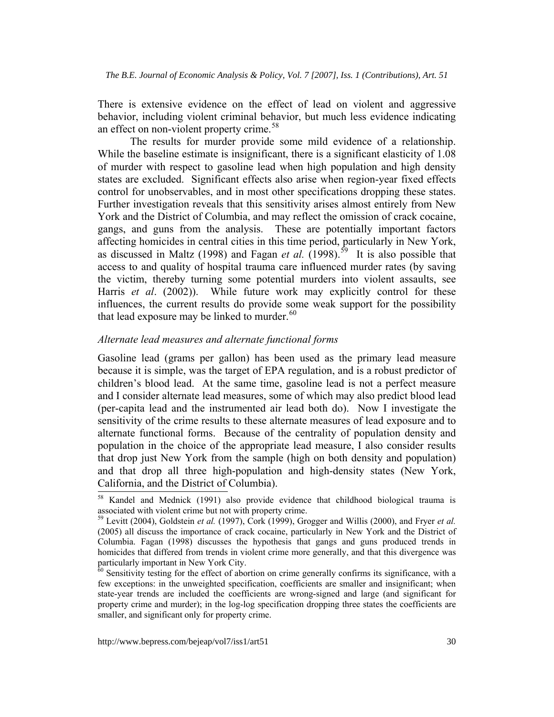There is extensive evidence on the effect of lead on violent and aggressive behavior, including violent criminal behavior, but much less evidence indicating an effect on non-violent property crime.<sup>[58](#page-31-0)</sup>

The results for murder provide some mild evidence of a relationship. While the baseline estimate is insignificant, there is a significant elasticity of 1.08 of murder with respect to gasoline lead when high population and high density states are excluded. Significant effects also arise when region-year fixed effects control for unobservables, and in most other specifications dropping these states. Further investigation reveals that this sensitivity arises almost entirely from New York and the District of Columbia, and may reflect the omission of crack cocaine, gangs, and guns from the analysis. These are potentially important factors affecting homicides in central cities in this time period, particularly in New York, as discussed in Maltz (1998) and Fagan *et al.* (1998).<sup>[59](#page-31-1)</sup> It is also possible that access to and quality of hospital trauma care influenced murder rates (by saving the victim, thereby turning some potential murders into violent assaults, see Harris *et al*. (2002)). While future work may explicitly control for these influences, the current results do provide some weak support for the possibility that lead exposure may be linked to murder. $60$ 

#### *Alternate lead measures and alternate functional forms*

Gasoline lead (grams per gallon) has been used as the primary lead measure because it is simple, was the target of EPA regulation, and is a robust predictor of children's blood lead. At the same time, gasoline lead is not a perfect measure and I consider alternate lead measures, some of which may also predict blood lead (per-capita lead and the instrumented air lead both do). Now I investigate the sensitivity of the crime results to these alternate measures of lead exposure and to alternate functional forms. Because of the centrality of population density and population in the choice of the appropriate lead measure, I also consider results that drop just New York from the sample (high on both density and population) and that drop all three high-population and high-density states (New York, California, and the District of Columbia).  $\frac{1}{2}$ 

<span id="page-31-0"></span><sup>&</sup>lt;sup>58</sup> Kandel and Mednick (1991) also provide evidence that childhood biological trauma is associated with violent crime but not with property crime. 59 Levitt (2004), Goldstein *et al.* (1997), Cork (1999), Grogger and Willis (2000), and Fryer *et al.*

<span id="page-31-1"></span><sup>(2005)</sup> all discuss the importance of crack cocaine, particularly in New York and the District of Columbia. Fagan (1998) discusses the hypothesis that gangs and guns produced trends in homicides that differed from trends in violent crime more generally, and that this divergence was particularly important in New York City.

<span id="page-31-2"></span> $60$  Sensitivity testing for the effect of abortion on crime generally confirms its significance, with a few exceptions: in the unweighted specification, coefficients are smaller and insignificant; when state-year trends are included the coefficients are wrong-signed and large (and significant for property crime and murder); in the log-log specification dropping three states the coefficients are smaller, and significant only for property crime.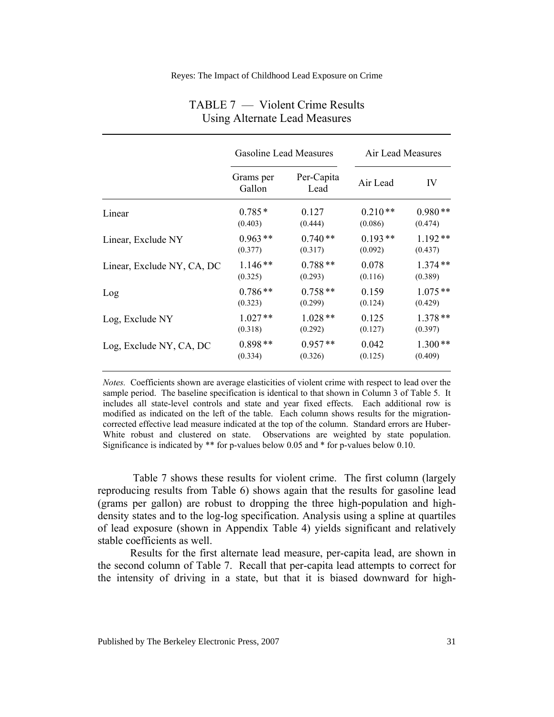|                            | <b>Gasoline Lead Measures</b> |                    | Air Lead Measures |           |  |
|----------------------------|-------------------------------|--------------------|-------------------|-----------|--|
|                            | Grams per<br>Gallon           | Per-Capita<br>Lead | Air Lead          | IV        |  |
| Linear                     | $0.785*$                      | 0.127              | $0.210**$         | $0.980**$ |  |
|                            | (0.403)                       | (0.444)            | (0.086)           | (0.474)   |  |
| Linear, Exclude NY         | $0.963**$                     | $0.740**$          | $0.193**$         | $1.192**$ |  |
|                            | (0.377)                       | (0.317)            | (0.092)           | (0.437)   |  |
| Linear, Exclude NY, CA, DC | $1.146**$                     | $0.788**$          | 0.078             | $1.374**$ |  |
|                            | (0.325)                       | (0.293)            | (0.116)           | (0.389)   |  |
| Log                        | $0.786**$                     | $0.758**$          | 0.159             | $1.075**$ |  |
|                            | (0.323)                       | (0.299)            | (0.124)           | (0.429)   |  |
| Log, Exclude NY            | $1.027**$                     | $1.028**$          | 0.125             | $1.378**$ |  |
|                            | (0.318)                       | (0.292)            | (0.127)           | (0.397)   |  |
| Log, Exclude NY, CA, DC    | $0.898**$                     | $0.957**$          | 0.042             | $1.300**$ |  |
|                            | (0.334)                       | (0.326)            | (0.125)           | (0.409)   |  |

## TABLE 7 — Violent Crime Results Using Alternate Lead Measures

*Notes.* Coefficients shown are average elasticities of violent crime with respect to lead over the sample period. The baseline specification is identical to that shown in Column 3 of Table 5. It includes all state-level controls and state and year fixed effects. Each additional row is modified as indicated on the left of the table. Each column shows results for the migrationcorrected effective lead measure indicated at the top of the column. Standard errors are Huber-White robust and clustered on state. Observations are weighted by state population. Significance is indicated by \*\* for p-values below 0.05 and \* for p-values below 0.10.

 Table 7 shows these results for violent crime. The first column (largely reproducing results from Table 6) shows again that the results for gasoline lead (grams per gallon) are robust to dropping the three high-population and highdensity states and to the log-log specification. Analysis using a spline at quartiles of lead exposure (shown in Appendix Table 4) yields significant and relatively stable coefficients as well.

Results for the first alternate lead measure, per-capita lead, are shown in the second column of Table 7. Recall that per-capita lead attempts to correct for the intensity of driving in a state, but that it is biased downward for high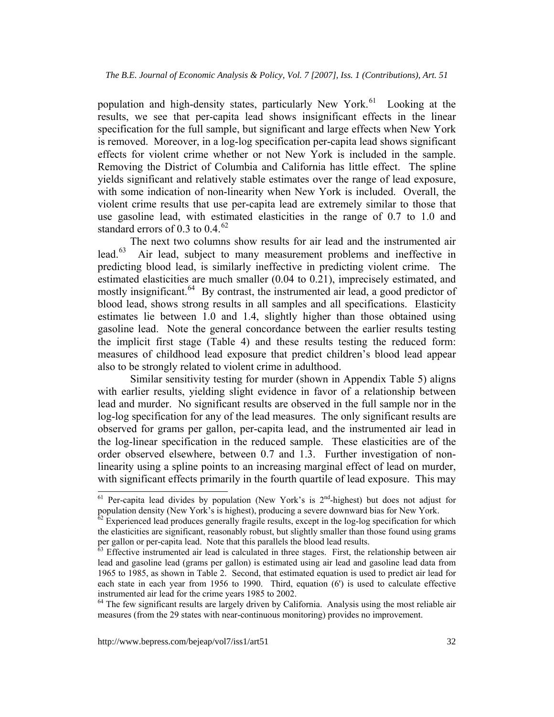population and high-density states, particularly New York.<sup>[61](#page-33-0)</sup> Looking at the results, we see that per-capita lead shows insignificant effects in the linear specification for the full sample, but significant and large effects when New York is removed. Moreover, in a log-log specification per-capita lead shows significant effects for violent crime whether or not New York is included in the sample. Removing the District of Columbia and California has little effect. The spline yields significant and relatively stable estimates over the range of lead exposure, with some indication of non-linearity when New York is included. Overall, the violent crime results that use per-capita lead are extremely similar to those that use gasoline lead, with estimated elasticities in the range of 0.7 to 1.0 and standard errors of 0.3 to 0.4. $^{62}$  $^{62}$  $^{62}$ 

The next two columns show results for air lead and the instrumented air lead.[63](#page-33-2) Air lead, subject to many measurement problems and ineffective in predicting blood lead, is similarly ineffective in predicting violent crime. The estimated elasticities are much smaller (0.04 to 0.21), imprecisely estimated, and mostly insignificant.<sup>[64](#page-33-3)</sup> By contrast, the instrumented air lead, a good predictor of blood lead, shows strong results in all samples and all specifications. Elasticity estimates lie between 1.0 and 1.4, slightly higher than those obtained using gasoline lead. Note the general concordance between the earlier results testing the implicit first stage (Table 4) and these results testing the reduced form: measures of childhood lead exposure that predict children's blood lead appear also to be strongly related to violent crime in adulthood.

Similar sensitivity testing for murder (shown in Appendix Table 5) aligns with earlier results, yielding slight evidence in favor of a relationship between lead and murder. No significant results are observed in the full sample nor in the log-log specification for any of the lead measures. The only significant results are observed for grams per gallon, per-capita lead, and the instrumented air lead in the log-linear specification in the reduced sample. These elasticities are of the order observed elsewhere, between 0.7 and 1.3. Further investigation of nonlinearity using a spline points to an increasing marginal effect of lead on murder, with significant effects primarily in the fourth quartile of lead exposure. This may

<span id="page-33-0"></span> $\overline{\phantom{a}}$ <sup>61</sup> Per-capita lead divides by population (New York's is  $2<sup>nd</sup>$ -highest) but does not adjust for population density (New York's is highest), producing a severe downward bias for New York.

<span id="page-33-1"></span> $62$  Experienced lead produces generally fragile results, except in the log-log specification for which the elasticities are significant, reasonably robust, but slightly smaller than those found using grams per gallon or per-capita lead. Note that this parallels the blood lead results.

<span id="page-33-2"></span> $63$  Effective instrumented air lead is calculated in three stages. First, the relationship between air lead and gasoline lead (grams per gallon) is estimated using air lead and gasoline lead data from 1965 to 1985, as shown in Table 2. Second, that estimated equation is used to predict air lead for each state in each year from 1956 to 1990. Third, equation (6') is used to calculate effective instrumented air lead for the crime years 1985 to 2002.<br><sup>64</sup> The few significant results are largely driven by California. Analysis using the most reliable air

<span id="page-33-3"></span>measures (from the 29 states with near-continuous monitoring) provides no improvement.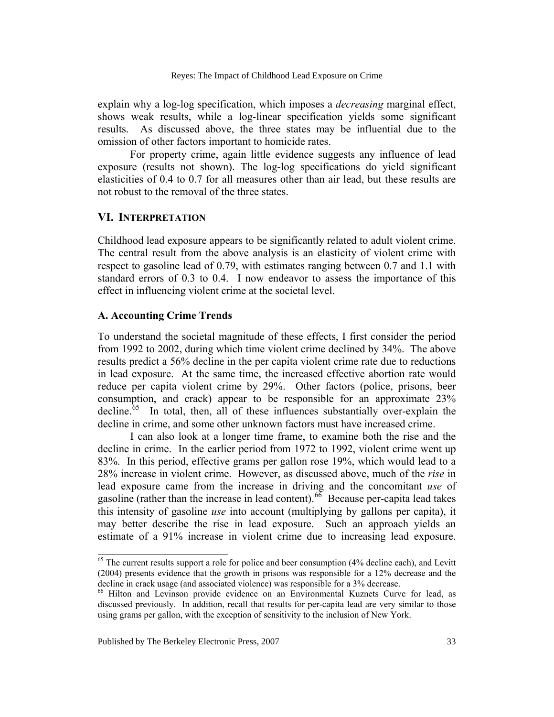explain why a log-log specification, which imposes a *decreasing* marginal effect, shows weak results, while a log-linear specification yields some significant results. As discussed above, the three states may be influential due to the omission of other factors important to homicide rates.

For property crime, again little evidence suggests any influence of lead exposure (results not shown). The log-log specifications do yield significant elasticities of 0.4 to 0.7 for all measures other than air lead, but these results are not robust to the removal of the three states.

#### **VI. INTERPRETATION**

Childhood lead exposure appears to be significantly related to adult violent crime. The central result from the above analysis is an elasticity of violent crime with respect to gasoline lead of 0.79, with estimates ranging between 0.7 and 1.1 with standard errors of 0.3 to 0.4. I now endeavor to assess the importance of this effect in influencing violent crime at the societal level.

## **A. Accounting Crime Trends**

To understand the societal magnitude of these effects, I first consider the period from 1992 to 2002, during which time violent crime declined by 34%. The above results predict a 56% decline in the per capita violent crime rate due to reductions in lead exposure. At the same time, the increased effective abortion rate would reduce per capita violent crime by 29%. Other factors (police, prisons, beer consumption, and crack) appear to be responsible for an approximate 23% decline.<sup>[65](#page-34-0)</sup> In total, then, all of these influences substantially over-explain the decline in crime, and some other unknown factors must have increased crime.

I can also look at a longer time frame, to examine both the rise and the decline in crime. In the earlier period from 1972 to 1992, violent crime went up 83%. In this period, effective grams per gallon rose 19%, which would lead to a 28% increase in violent crime. However, as discussed above, much of the *rise* in lead exposure came from the increase in driving and the concomitant *use* of gasoline (rather than the increase in lead content).  $66$  Because per-capita lead takes this intensity of gasoline *use* into account (multiplying by gallons per capita), it may better describe the rise in lead exposure. Such an approach yields an estimate of a 91% increase in violent crime due to increasing lead exposure.

<span id="page-34-0"></span> $\overline{\phantom{a}}$  $65$  The current results support a role for police and beer consumption (4% decline each), and Levitt (2004) presents evidence that the growth in prisons was responsible for a 12% decrease and the decline in crack usage (and associated violence) was responsible for a 3% decrease.

<span id="page-34-1"></span><sup>66</sup> Hilton and Levinson provide evidence on an Environmental Kuznets Curve for lead, as discussed previously. In addition, recall that results for per-capita lead are very similar to those using grams per gallon, with the exception of sensitivity to the inclusion of New York.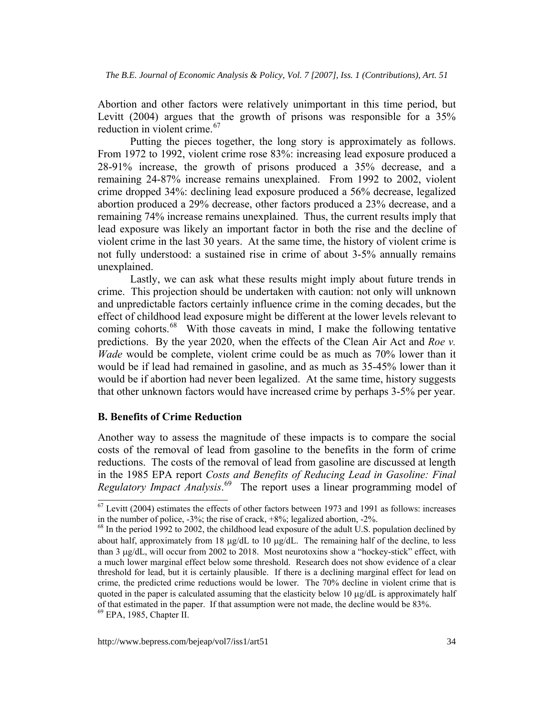Abortion and other factors were relatively unimportant in this time period, but Levitt (2004) argues that the growth of prisons was responsible for a 35% reduction in violent crime.<sup>[67](#page-35-0)</sup>

Putting the pieces together, the long story is approximately as follows. From 1972 to 1992, violent crime rose 83%: increasing lead exposure produced a 28-91% increase, the growth of prisons produced a 35% decrease, and a remaining 24-87% increase remains unexplained. From 1992 to 2002, violent crime dropped 34%: declining lead exposure produced a 56% decrease, legalized abortion produced a 29% decrease, other factors produced a 23% decrease, and a remaining 74% increase remains unexplained. Thus, the current results imply that lead exposure was likely an important factor in both the rise and the decline of violent crime in the last 30 years. At the same time, the history of violent crime is not fully understood: a sustained rise in crime of about 3-5% annually remains unexplained.

Lastly, we can ask what these results might imply about future trends in crime. This projection should be undertaken with caution: not only will unknown and unpredictable factors certainly influence crime in the coming decades, but the effect of childhood lead exposure might be different at the lower levels relevant to coming cohorts.<sup>[68](#page-35-1)</sup> With those caveats in mind, I make the following tentative predictions. By the year 2020, when the effects of the Clean Air Act and *Roe v. Wade* would be complete, violent crime could be as much as 70% lower than it would be if lead had remained in gasoline, and as much as 35-45% lower than it would be if abortion had never been legalized. At the same time, history suggests that other unknown factors would have increased crime by perhaps 3-5% per year.

## **B. Benefits of Crime Reduction**

 $\overline{\phantom{a}}$ 

Another way to assess the magnitude of these impacts is to compare the social costs of the removal of lead from gasoline to the benefits in the form of crime reductions. The costs of the removal of lead from gasoline are discussed at length in the 1985 EPA report *Costs and Benefits of Reducing Lead in Gasoline: Final Regulatory Impact Analysis*. [69](#page-35-2) The report uses a linear programming model of

<span id="page-35-0"></span> $67$  Levitt (2004) estimates the effects of other factors between 1973 and 1991 as follows: increases in the number of police, -3%; the rise of crack, +8%; legalized abortion, -2%.<br><sup>68</sup> In the period 1992 to 2002, the childhood lead exposure of the adult U.S. population declined by

<span id="page-35-2"></span><span id="page-35-1"></span>about half, approximately from 18 μg/dL to 10 μg/dL. The remaining half of the decline, to less than 3 μg/dL, will occur from 2002 to 2018. Most neurotoxins show a "hockey-stick" effect, with a much lower marginal effect below some threshold. Research does not show evidence of a clear threshold for lead, but it is certainly plausible. If there is a declining marginal effect for lead on crime, the predicted crime reductions would be lower. The 70% decline in violent crime that is quoted in the paper is calculated assuming that the elasticity below 10  $\mu$ g/dL is approximately half of that estimated in the paper. If that assumption were not made, the decline would be 83%.<br><sup>69</sup> EPA, 1985, Chapter II.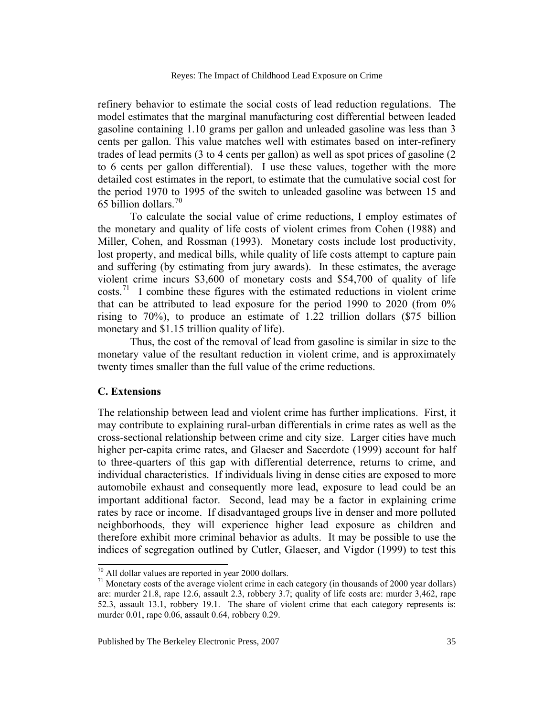refinery behavior to estimate the social costs of lead reduction regulations. The model estimates that the marginal manufacturing cost differential between leaded gasoline containing 1.10 grams per gallon and unleaded gasoline was less than 3 cents per gallon. This value matches well with estimates based on inter-refinery trades of lead permits (3 to 4 cents per gallon) as well as spot prices of gasoline (2 to 6 cents per gallon differential). I use these values, together with the more detailed cost estimates in the report, to estimate that the cumulative social cost for the period 1970 to 1995 of the switch to unleaded gasoline was between 15 and 65 billion dollars.<sup>[70](#page-36-0)</sup>

To calculate the social value of crime reductions, I employ estimates of the monetary and quality of life costs of violent crimes from Cohen (1988) and Miller, Cohen, and Rossman (1993). Monetary costs include lost productivity, lost property, and medical bills, while quality of life costs attempt to capture pain and suffering (by estimating from jury awards). In these estimates, the average violent crime incurs \$3,600 of monetary costs and \$54,700 of quality of life costs.[71](#page-36-1) I combine these figures with the estimated reductions in violent crime that can be attributed to lead exposure for the period 1990 to 2020 (from 0% rising to 70%), to produce an estimate of 1.22 trillion dollars (\$75 billion monetary and \$1.15 trillion quality of life).

Thus, the cost of the removal of lead from gasoline is similar in size to the monetary value of the resultant reduction in violent crime, and is approximately twenty times smaller than the full value of the crime reductions.

#### **C. Extensions**

The relationship between lead and violent crime has further implications. First, it may contribute to explaining rural-urban differentials in crime rates as well as the cross-sectional relationship between crime and city size. Larger cities have much higher per-capita crime rates, and Glaeser and Sacerdote (1999) account for half to three-quarters of this gap with differential deterrence, returns to crime, and individual characteristics. If individuals living in dense cities are exposed to more automobile exhaust and consequently more lead, exposure to lead could be an important additional factor. Second, lead may be a factor in explaining crime rates by race or income. If disadvantaged groups live in denser and more polluted neighborhoods, they will experience higher lead exposure as children and therefore exhibit more criminal behavior as adults. It may be possible to use the indices of segregation outlined by Cutler, Glaeser, and Vigdor (1999) to test this

 $\overline{a}$  $70$  All dollar values are reported in year 2000 dollars.

<span id="page-36-1"></span><span id="page-36-0"></span> $71$  Monetary costs of the average violent crime in each category (in thousands of 2000 year dollars) are: murder 21.8, rape 12.6, assault 2.3, robbery 3.7; quality of life costs are: murder 3,462, rape 52.3, assault 13.1, robbery 19.1. The share of violent crime that each category represents is: murder 0.01, rape 0.06, assault 0.64, robbery 0.29.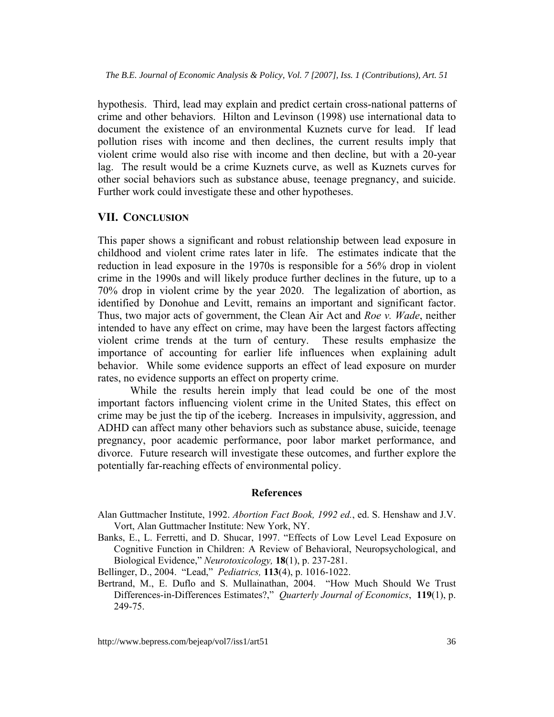hypothesis. Third, lead may explain and predict certain cross-national patterns of crime and other behaviors. Hilton and Levinson (1998) use international data to document the existence of an environmental Kuznets curve for lead. If lead pollution rises with income and then declines, the current results imply that violent crime would also rise with income and then decline, but with a 20-year lag. The result would be a crime Kuznets curve, as well as Kuznets curves for other social behaviors such as substance abuse, teenage pregnancy, and suicide. Further work could investigate these and other hypotheses.

#### **VII. CONCLUSION**

This paper shows a significant and robust relationship between lead exposure in childhood and violent crime rates later in life. The estimates indicate that the reduction in lead exposure in the 1970s is responsible for a 56% drop in violent crime in the 1990s and will likely produce further declines in the future, up to a 70% drop in violent crime by the year 2020. The legalization of abortion, as identified by Donohue and Levitt, remains an important and significant factor. Thus, two major acts of government, the Clean Air Act and *Roe v. Wade*, neither intended to have any effect on crime, may have been the largest factors affecting violent crime trends at the turn of century. These results emphasize the importance of accounting for earlier life influences when explaining adult behavior. While some evidence supports an effect of lead exposure on murder rates, no evidence supports an effect on property crime.

While the results herein imply that lead could be one of the most important factors influencing violent crime in the United States, this effect on crime may be just the tip of the iceberg. Increases in impulsivity, aggression, and ADHD can affect many other behaviors such as substance abuse, suicide, teenage pregnancy, poor academic performance, poor labor market performance, and divorce. Future research will investigate these outcomes, and further explore the potentially far-reaching effects of environmental policy.

#### **References**

- Alan Guttmacher Institute, 1992. *Abortion Fact Book, 1992 ed.*, ed. S. Henshaw and J.V. Vort, Alan Guttmacher Institute: New York, NY.
- Banks, E., L. Ferretti, and D. Shucar, 1997. "Effects of Low Level Lead Exposure on Cognitive Function in Children: A Review of Behavioral, Neuropsychological, and Biological Evidence," *Neurotoxicology,* **18**(1), p. 237-281.

Bellinger, D., 2004. "Lead," *Pediatrics,* **113**(4), p. 1016-1022.

Bertrand, M., E. Duflo and S. Mullainathan, 2004. "How Much Should We Trust Differences-in-Differences Estimates?," *Quarterly Journal of Economics*, **119**(1), p. 249-75.

http://www.bepress.com/bejeap/vol7/iss1/art51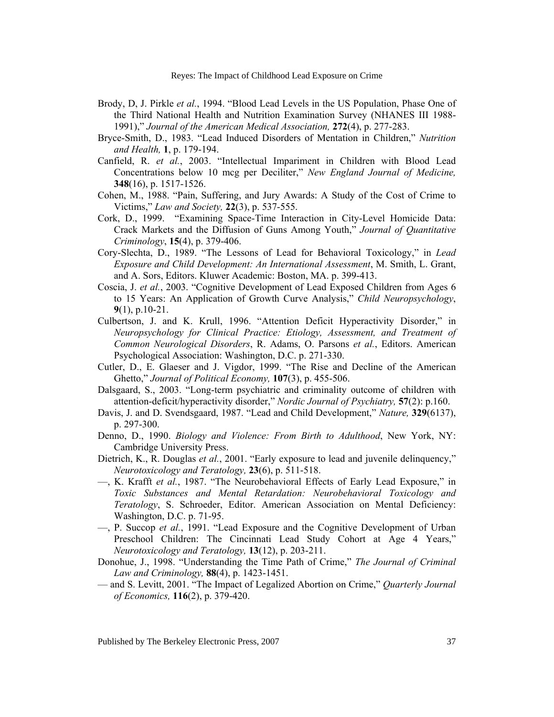Reyes: The Impact of Childhood Lead Exposure on Crime

- Brody, D, J. Pirkle *et al.*, 1994. "Blood Lead Levels in the US Population, Phase One of the Third National Health and Nutrition Examination Survey (NHANES III 1988- 1991)," *Journal of the American Medical Association,* **272**(4), p. 277-283.
- Bryce-Smith, D., 1983. "Lead Induced Disorders of Mentation in Children," *Nutrition and Health,* **1**, p. 179-194.
- Canfield, R. *et al.*, 2003. "Intellectual Impariment in Children with Blood Lead Concentrations below 10 mcg per Deciliter," *New England Journal of Medicine,* **348**(16), p. 1517-1526.
- Cohen, M., 1988. "Pain, Suffering, and Jury Awards: A Study of the Cost of Crime to Victims," *Law and Society,* **22**(3), p. 537-555.
- Cork, D., 1999. "Examining Space-Time Interaction in City-Level Homicide Data: Crack Markets and the Diffusion of Guns Among Youth," *Journal of Quantitative Criminology*, **15**(4), p. 379-406.
- Cory-Slechta, D., 1989. "The Lessons of Lead for Behavioral Toxicology," in *Lead Exposure and Child Development: An International Assessment*, M. Smith, L. Grant, and A. Sors, Editors. Kluwer Academic: Boston, MA. p. 399-413.
- Coscia, J. *et al.*, 2003. "Cognitive Development of Lead Exposed Children from Ages 6 to 15 Years: An Application of Growth Curve Analysis," *Child Neuropsychology*, **9**(1), p.10-21.
- Culbertson, J. and K. Krull, 1996. "Attention Deficit Hyperactivity Disorder," in *Neuropsychology for Clinical Practice: Etiology, Assessment, and Treatment of Common Neurological Disorders*, R. Adams, O. Parsons *et al.*, Editors. American Psychological Association: Washington, D.C. p. 271-330.
- Cutler, D., E. Glaeser and J. Vigdor, 1999. "The Rise and Decline of the American Ghetto," *Journal of Political Economy,* **107**(3), p. 455-506.
- Dalsgaard, S., 2003. "Long-term psychiatric and criminality outcome of children with attention-deficit/hyperactivity disorder," *Nordic Journal of Psychiatry,* **57**(2): p.160.
- Davis, J. and D. Svendsgaard, 1987. "Lead and Child Development," *Nature,* **329**(6137), p. 297-300.
- Denno, D., 1990. *Biology and Violence: From Birth to Adulthood*, New York, NY: Cambridge University Press.
- Dietrich, K., R. Douglas *et al.*, 2001. "Early exposure to lead and juvenile delinquency," *Neurotoxicology and Teratology,* **23**(6), p. 511-518.
- —, K. Krafft *et al.*, 1987. "The Neurobehavioral Effects of Early Lead Exposure," in *Toxic Substances and Mental Retardation: Neurobehavioral Toxicology and Teratology*, S. Schroeder, Editor. American Association on Mental Deficiency: Washington, D.C. p. 71-95.
- —, P. Succop *et al.*, 1991. "Lead Exposure and the Cognitive Development of Urban Preschool Children: The Cincinnati Lead Study Cohort at Age 4 Years," *Neurotoxicology and Teratology,* **13**(12), p. 203-211.
- Donohue, J., 1998. "Understanding the Time Path of Crime," *The Journal of Criminal Law and Criminology,* **88**(4), p. 1423-1451.
- and S. Levitt, 2001. "The Impact of Legalized Abortion on Crime," *Quarterly Journal of Economics,* **116**(2), p. 379-420.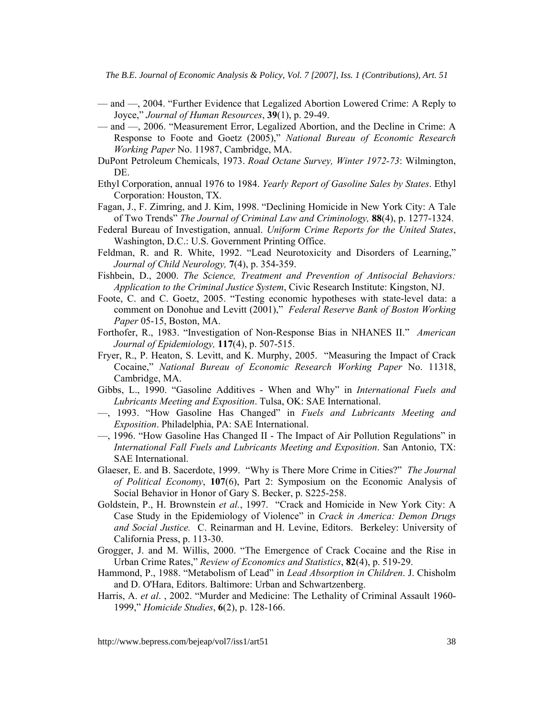- and —, 2004. "Further Evidence that Legalized Abortion Lowered Crime: A Reply to Joyce," *Journal of Human Resources*, **39**(1), p. 29-49.
- and —, 2006. "Measurement Error, Legalized Abortion, and the Decline in Crime: A Response to Foote and Goetz (2005)," *National Bureau of Economic Research Working Paper* No. 11987, Cambridge, MA.
- DuPont Petroleum Chemicals, 1973. *Road Octane Survey, Winter 1972-73*: Wilmington, DE.
- Ethyl Corporation, annual 1976 to 1984. *Yearly Report of Gasoline Sales by States*. Ethyl Corporation: Houston, TX.
- Fagan, J., F. Zimring, and J. Kim, 1998. "Declining Homicide in New York City: A Tale of Two Trends" *The Journal of Criminal Law and Criminology,* **88**(4), p. 1277-1324.
- Federal Bureau of Investigation, annual. *Uniform Crime Reports for the United States*, Washington, D.C.: U.S. Government Printing Office.
- Feldman, R. and R. White, 1992. "Lead Neurotoxicity and Disorders of Learning," *Journal of Child Neurology,* **7**(4), p. 354-359.
- Fishbein, D., 2000. *The Science, Treatment and Prevention of Antisocial Behaviors: Application to the Criminal Justice System*, Civic Research Institute: Kingston, NJ.
- Foote, C. and C. Goetz, 2005. "Testing economic hypotheses with state-level data: a comment on Donohue and Levitt (2001)," *Federal Reserve Bank of Boston Working Paper* 05-15, Boston, MA.
- Forthofer, R., 1983. "Investigation of Non-Response Bias in NHANES II." *American Journal of Epidemiology,* **117**(4), p. 507-515.
- Fryer, R., P. Heaton, S. Levitt, and K. Murphy, 2005. "Measuring the Impact of Crack Cocaine," *National Bureau of Economic Research Working Paper* No. 11318, Cambridge, MA.
- Gibbs, L., 1990. "Gasoline Additives When and Why" in *International Fuels and Lubricants Meeting and Exposition*. Tulsa, OK: SAE International.
- —, 1993. "How Gasoline Has Changed" in *Fuels and Lubricants Meeting and Exposition*. Philadelphia, PA: SAE International.
- —, 1996. "How Gasoline Has Changed II The Impact of Air Pollution Regulations" in *International Fall Fuels and Lubricants Meeting and Exposition*. San Antonio, TX: SAE International.
- Glaeser, E. and B. Sacerdote, 1999. "Why is There More Crime in Cities?" *The Journal of Political Economy*, **107**(6), Part 2: Symposium on the Economic Analysis of Social Behavior in Honor of Gary S. Becker, p. S225-258.
- Goldstein, P., H. Brownstein *et al.*, 1997. "Crack and Homicide in New York City: A Case Study in the Epidemiology of Violence" in *Crack in America: Demon Drugs and Social Justice.* C. Reinarman and H. Levine, Editors. Berkeley: University of California Press, p. 113-30.
- Grogger, J. and M. Willis, 2000. "The Emergence of Crack Cocaine and the Rise in Urban Crime Rates," *Review of Economics and Statistics*, **82**(4), p. 519-29.
- Hammond, P., 1988. "Metabolism of Lead" in *Lead Absorption in Children*. J. Chisholm and D. O'Hara, Editors. Baltimore: Urban and Schwartzenberg.
- Harris, A. *et al*. , 2002. "Murder and Medicine: The Lethality of Criminal Assault 1960- 1999," *Homicide Studies*, **6**(2), p. 128-166.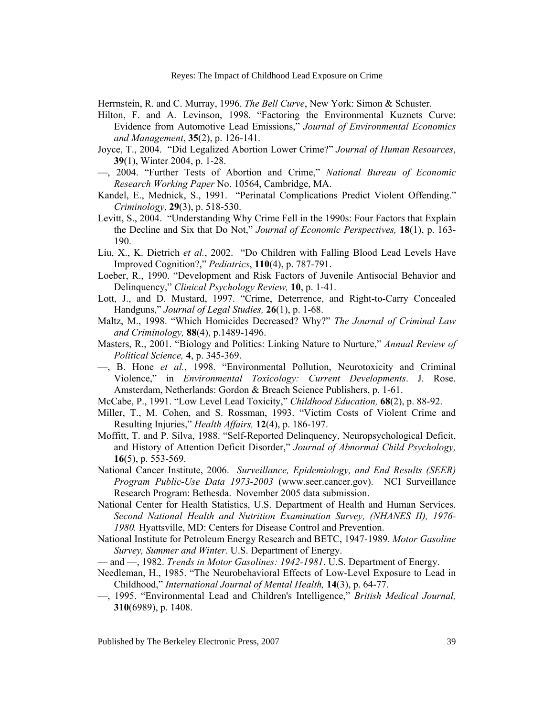Reyes: The Impact of Childhood Lead Exposure on Crime

Herrnstein, R. and C. Murray, 1996. *The Bell Curve*, New York: Simon & Schuster.

- Hilton, F. and A. Levinson, 1998. "Factoring the Environmental Kuznets Curve: Evidence from Automotive Lead Emissions," *Journal of Environmental Economics and Management*, **35**(2), p. 126-141.
- Joyce, T., 2004. "Did Legalized Abortion Lower Crime?" *Journal of Human Resources*, **39**(1), Winter 2004, p. 1-28.
- —, 2004. "Further Tests of Abortion and Crime," *National Bureau of Economic Research Working Paper* No. 10564, Cambridge, MA.
- Kandel, E., Mednick, S., 1991. "Perinatal Complications Predict Violent Offending." *Criminology*, **29**(3), p. 518-530.
- Levitt, S., 2004. "Understanding Why Crime Fell in the 1990s: Four Factors that Explain the Decline and Six that Do Not," *Journal of Economic Perspectives,* **18**(1), p. 163- 190.
- Liu, X., K. Dietrich *et al.*, 2002. "Do Children with Falling Blood Lead Levels Have Improved Cognition?," *Pediatrics*, **110**(4), p. 787-791.
- Loeber, R., 1990. "Development and Risk Factors of Juvenile Antisocial Behavior and Delinquency," *Clinical Psychology Review,* **10**, p. 1-41.
- Lott, J., and D. Mustard, 1997. "Crime, Deterrence, and Right-to-Carry Concealed Handguns," *Journal of Legal Studies,* **26**(1), p. 1-68.
- Maltz, M., 1998. "Which Homicides Decreased? Why?" *The Journal of Criminal Law and Criminology,* **88**(4), p.1489-1496.
- Masters, R., 2001. "Biology and Politics: Linking Nature to Nurture," *Annual Review of Political Science,* **4**, p. 345-369.
- —, B. Hone *et al.*, 1998. "Environmental Pollution, Neurotoxicity and Criminal Violence," in *Environmental Toxicology: Current Developments*. J. Rose. Amsterdam, Netherlands: Gordon & Breach Science Publishers, p. 1-61.
- McCabe, P., 1991. "Low Level Lead Toxicity," *Childhood Education,* **68**(2), p. 88-92.
- Miller, T., M. Cohen, and S. Rossman, 1993. "Victim Costs of Violent Crime and Resulting Injuries," *Health Affairs,* **12**(4), p. 186-197.
- Moffitt, T. and P. Silva, 1988. "Self-Reported Delinquency, Neuropsychological Deficit, and History of Attention Deficit Disorder," *Journal of Abnormal Child Psychology,*  **16**(5), p. 553-569.
- National Cancer Institute, 2006. *Surveillance, Epidemiology, and End Results (SEER) Program Public-Use Data 1973-2003* (www.seer.cancer.gov). NCI Surveillance Research Program: Bethesda. November 2005 data submission.
- National Center for Health Statistics, U.S. Department of Health and Human Services. *Second National Health and Nutrition Examination Survey, (NHANES II), 1976- 1980.* Hyattsville, MD: Centers for Disease Control and Prevention.
- National Institute for Petroleum Energy Research and BETC, 1947-1989. *Motor Gasoline Survey, Summer and Winter*. U.S. Department of Energy.
- and —, 1982. *Trends in Motor Gasolines: 1942-1981*. U.S. Department of Energy.
- Needleman, H., 1985. "The Neurobehavioral Effects of Low-Level Exposure to Lead in Childhood," *International Journal of Mental Health,* **14**(3), p. 64-77.
- —, 1995. "Environmental Lead and Children's Intelligence," *British Medical Journal,*  **310**(6989), p. 1408.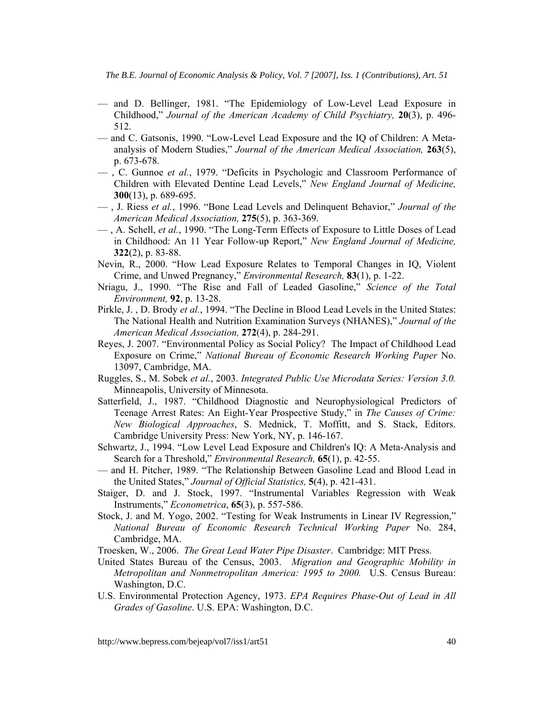*The B.E. Journal of Economic Analysis & Policy, Vol. 7 [2007], Iss. 1 (Contributions), Art. 51*

- and D. Bellinger, 1981. "The Epidemiology of Low-Level Lead Exposure in Childhood," *Journal of the American Academy of Child Psychiatry,* **20**(3), p. 496- 512.
- and C. Gatsonis, 1990. "Low-Level Lead Exposure and the IQ of Children: A Metaanalysis of Modern Studies," *Journal of the American Medical Association,* **263**(5), p. 673-678.
- , C. Gunnoe *et al.*, 1979. "Deficits in Psychologic and Classroom Performance of Children with Elevated Dentine Lead Levels," *New England Journal of Medicine,*  **300**(13), p. 689-695.
- , J. Riess *et al.*, 1996. "Bone Lead Levels and Delinquent Behavior," *Journal of the American Medical Association,* **275**(5), p. 363-369.
- , A. Schell, *et al.*, 1990. "The Long-Term Effects of Exposure to Little Doses of Lead in Childhood: An 11 Year Follow-up Report," *New England Journal of Medicine,* **322**(2), p. 83-88.
- Nevin, R., 2000. "How Lead Exposure Relates to Temporal Changes in IQ, Violent Crime, and Unwed Pregnancy," *Environmental Research,* **83**(1), p. 1-22.
- Nriagu, J., 1990. "The Rise and Fall of Leaded Gasoline," *Science of the Total Environment,* **92**, p. 13-28.
- Pirkle, J. , D. Brody *et al.*, 1994. "The Decline in Blood Lead Levels in the United States: The National Health and Nutrition Examination Surveys (NHANES)," *Journal of the American Medical Association,* **272**(4), p. 284-291.
- Reyes, J. 2007. "Environmental Policy as Social Policy? The Impact of Childhood Lead Exposure on Crime," *National Bureau of Economic Research Working Paper* No. 13097, Cambridge, MA.
- Ruggles, S., M. Sobek *et al.*, 2003. *Integrated Public Use Microdata Series: Version 3.0.* Minneapolis, University of Minnesota.
- Satterfield, J., 1987. "Childhood Diagnostic and Neurophysiological Predictors of Teenage Arrest Rates: An Eight-Year Prospective Study," in *The Causes of Crime: New Biological Approaches*, S. Mednick, T. Moffitt, and S. Stack, Editors. Cambridge University Press: New York, NY, p. 146-167.
- Schwartz, J., 1994. "Low Level Lead Exposure and Children's IQ: A Meta-Analysis and Search for a Threshold," *Environmental Research,* **65**(1), p. 42-55.
- and H. Pitcher, 1989. "The Relationship Between Gasoline Lead and Blood Lead in the United States," *Journal of Official Statistics,* **5**(4), p. 421-431.
- Staiger, D. and J. Stock, 1997. "Instrumental Variables Regression with Weak Instruments," *Econometrica*, **65**(3), p. 557-586.
- Stock, J. and M. Yogo, 2002. "Testing for Weak Instruments in Linear IV Regression," *National Bureau of Economic Research Technical Working Paper* No. 284, Cambridge, MA.
- Troesken, W., 2006. *The Great Lead Water Pipe Disaster*. Cambridge: MIT Press.
- United States Bureau of the Census, 2003. *Migration and Geographic Mobility in Metropolitan and Nonmetropolitan America: 1995 to 2000.* U.S. Census Bureau: Washington, D.C.
- U.S. Environmental Protection Agency, 1973. *EPA Requires Phase-Out of Lead in All Grades of Gasoline*. U.S. EPA: Washington, D.C.

http://www.bepress.com/bejeap/vol7/iss1/art51